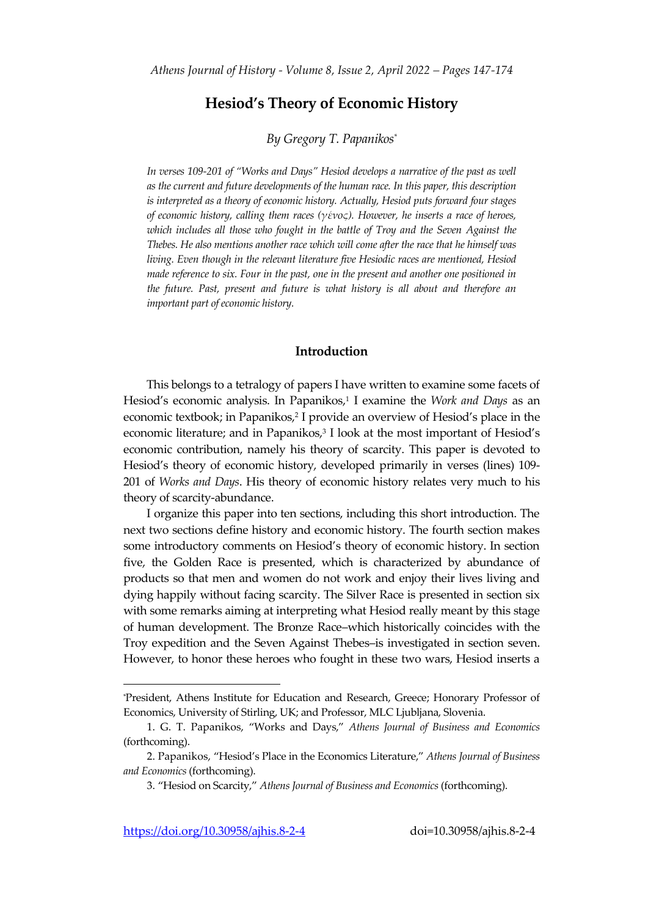# **Hesiod's Theory of Economic History**

# *By Gregory T. Papanikos\**

*In verses 109-201 of "Works and Days" Hesiod develops a narrative of the past as well as the current and future developments of the human race. In this paper, this description is interpreted as a theory of economic history. Actually, Hesiod puts forward four stages of economic history, calling them races (γένος). However, he inserts a race of heroes, which includes all those who fought in the battle of Troy and the Seven Against the Thebes. He also mentions another race which will come after the race that he himself was living. Even though in the relevant literature five Hesiodic races are mentioned, Hesiod made reference to six. Four in the past, one in the present and another one positioned in the future. Past, present and future is what history is all about and therefore an important part of economic history.*

## **Introduction**

This belongs to a tetralogy of papers I have written to examine some facets of Hesiod's economic analysis. In Papanikos, 1 I examine the *Work and Days* as an economic textbook; in Papanikos, 2 I provide an overview of Hesiod's place in the economic literature; and in Papanikos, 3 I look at the most important of Hesiod's economic contribution, namely his theory of scarcity. This paper is devoted to Hesiod's theory of economic history, developed primarily in verses (lines) 109- 201 of *Works and Days*. His theory of economic history relates very much to his theory of scarcity-abundance.

I organize this paper into ten sections, including this short introduction. The next two sections define history and economic history. The fourth section makes some introductory comments on Hesiod's theory of economic history. In section five, the Golden Race is presented, which is characterized by abundance of products so that men and women do not work and enjoy their lives living and dying happily without facing scarcity. The Silver Race is presented in section six with some remarks aiming at interpreting what Hesiod really meant by this stage of human development. The Bronze Race–which historically coincides with the Troy expedition and the Seven Against Thebes–is investigated in section seven. However, to honor these heroes who fought in these two wars, Hesiod inserts a

 $\overline{a}$ 

<sup>\*</sup>President, Athens Institute for Education and Research, Greece; Honorary Professor of Economics, University of Stirling, UK; and Professor, MLC Ljubljana, Slovenia.

<sup>1.</sup> G. T. Papanikos, "Works and Days," *Athens Journal of Business and Economics* (forthcoming).

<sup>2.</sup> Papanikos, "Hesiod's Place in the Economics Literature," *Athens Journal of Business and Economics* (forthcoming).

<sup>3.</sup> "Hesiod on Scarcity," *Athens Journal of Business and Economics* (forthcoming).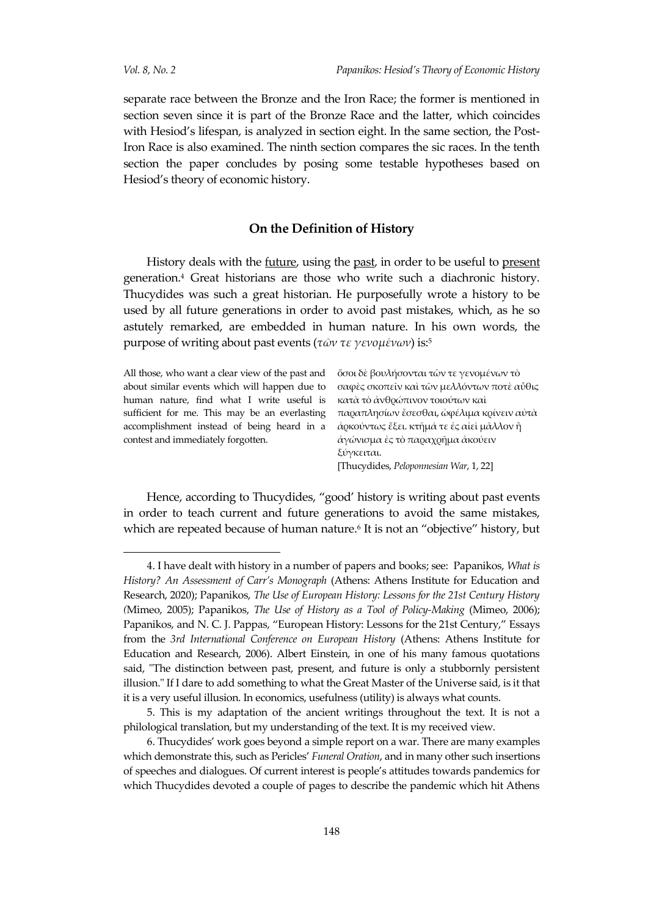l

separate race between the Bronze and the Iron Race; the former is mentioned in section seven since it is part of the Bronze Race and the latter, which coincides with Hesiod's lifespan, is analyzed in section eight. In the same section, the Post-Iron Race is also examined. The ninth section compares the sic races. In the tenth section the paper concludes by posing some testable hypotheses based on Hesiod's theory of economic history.

## **On the Definition of History**

History deals with the future, using the past, in order to be useful to present generation.<sup>4</sup> Great historians are those who write such a diachronic history. Thucydides was such a great historian. He purposefully wrote a history to be used by all future generations in order to avoid past mistakes, which, as he so astutely remarked, are embedded in human nature. In his own words, the purpose of writing about past events (*τῶν τε γενομένων*) is: 5

All those, who want a clear view of the past and about similar events which will happen due to human nature, find what I write useful is accomplishment instead of being heard in a contest and immediately forgotten.

sufficient for me. This may be an everlasting  $\pi$ αφαπλησίων ἔσεσθαι, ὼφέλιμα κρίνειν αὐτὰ ὅσοι δὲ βουλήσονται τῶν τε γενομένων τὸ σαφὲς σκοπεῖν καὶ τῶν μελλόντων ποτὲ αὖθις κατὰ τὸ ἀνθρώπινον τοιούτων καὶ ἀρκούντως ἕξει. κτῆμά τε ἐς αἰεὶ μᾶλλον ἢ ἀγώνισμα ἐς τὸ παραχρῆμα ἀκούειν ξύγκειται. [Thucydides, *Peloponnesian War*, 1, 22]

Hence, according to Thucydides, "good' history is writing about past events in order to teach current and future generations to avoid the same mistakes, which are repeated because of human nature.<sup>6</sup> It is not an "objective" history, but

<sup>4.</sup> I have dealt with history in a number of papers and books; see: Papanikos, *What is History? An Assessment of Carr's Monograph* (Athens: Athens Institute for Education and Research, 2020); Papanikos, *The Use of European History: Lessons for the 21st Century History (*Mimeo, 2005); Papanikos, *The Use of History as a Tool of Policy-Making* (Mimeo, 2006); Papanikos, and N. C. J. Pappas, "European History: Lessons for the 21st Century," Essays from the *3rd International Conference on European History* (Athens: Athens Institute for Education and Research, 2006). Albert Einstein, in one of his many famous quotations said, "The distinction between past, present, and future is only a stubbornly persistent illusion." If I dare to add something to what the Great Master of the Universe said, is it that it is a very useful illusion. In economics, usefulness (utility) is always what counts.

<sup>5.</sup> This is my adaptation of the ancient writings throughout the text. It is not a philological translation, but my understanding of the text. It is my received view.

<sup>6</sup>. Thucydides' work goes beyond a simple report on a war. There are many examples which demonstrate this, such as Pericles' *Funeral Oration*, and in many other such insertions of speeches and dialogues. Of current interest is people's attitudes towards pandemics for which Thucydides devoted a couple of pages to describe the pandemic which hit Athens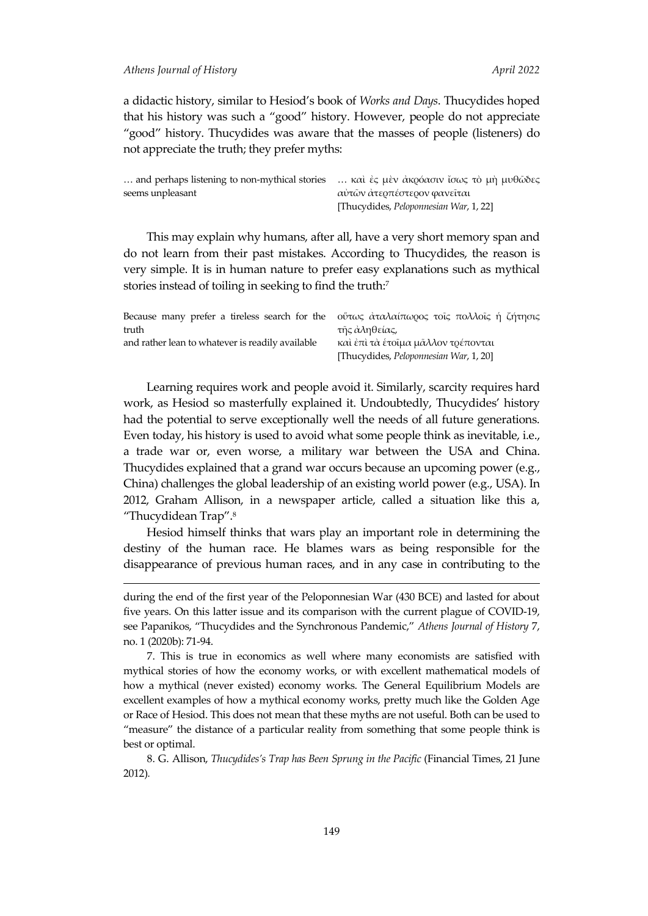<u>.</u>

a didactic history, similar to Hesiod's book of *Works and Days*. Thucydides hoped that his history was such a "good" history. However, people do not appreciate "good" history. Thucydides was aware that the masses of people (listeners) do not appreciate the truth; they prefer myths:

|                  | and perhaps listening to non-mythical stories  καὶ ἐς μὲν ἀκρόασιν ἴσως τὸ μὴ μυθῶδες |
|------------------|---------------------------------------------------------------------------------------|
| seems unpleasant | αὐτῶν ἀτερπέστερον φανεῖται                                                           |
|                  | [Thucydides, Peloponnesian War, 1, 22]                                                |

This may explain why humans, after all, have a very short memory span and do not learn from their past mistakes. According to Thucydides, the reason is very simple. It is in human nature to prefer easy explanations such as mythical stories instead of toiling in seeking to find the truth:<sup>7</sup>

| Because many prefer a tireless search for the $\phi$ ύτως απαλαίπωρος τοις πολλοις ή ζήτησις |                                        |
|----------------------------------------------------------------------------------------------|----------------------------------------|
| truth                                                                                        | τῆς ἀληθείας,                          |
| and rather lean to whatever is readily available                                             | καὶ ἐπὶ τὰ ἑτοῖμα μᾶλλον τρέπονται     |
|                                                                                              | [Thucydides, Peloponnesian War, 1, 20] |

Learning requires work and people avoid it. Similarly, scarcity requires hard work, as Hesiod so masterfully explained it. Undoubtedly, Thucydides' history had the potential to serve exceptionally well the needs of all future generations. Even today, his history is used to avoid what some people think as inevitable, i.e., a trade war or, even worse, a military war between the USA and China. Thucydides explained that a grand war occurs because an upcoming power (e.g., China) challenges the global leadership of an existing world power (e.g., USA). In 2012, Graham Allison, in a newspaper article, called a situation like this a, "Thucydidean Trap".<sup>8</sup>

Hesiod himself thinks that wars play an important role in determining the destiny of the human race. He blames wars as being responsible for the disappearance of previous human races, and in any case in contributing to the

during the end of the first year of the Peloponnesian War (430 BCE) and lasted for about five years. On this latter issue and its comparison with the current plague of COVID-19, see Papanikos, "Thucydides and the Synchronous Pandemic," *Athens Journal of History* 7, no. 1 (2020b): 71-94.

<sup>7.</sup> This is true in economics as well where many economists are satisfied with mythical stories of how the economy works, or with excellent mathematical models of how a mythical (never existed) economy works. The General Equilibrium Models are excellent examples of how a mythical economy works, pretty much like the Golden Age or Race of Hesiod. This does not mean that these myths are not useful. Both can be used to "measure" the distance of a particular reality from something that some people think is best or optimal.

<sup>8.</sup> G. Allison, *Thucydides's Trap has Been Sprung in the Pacific* (Financial Times, 21 June 2012)*.*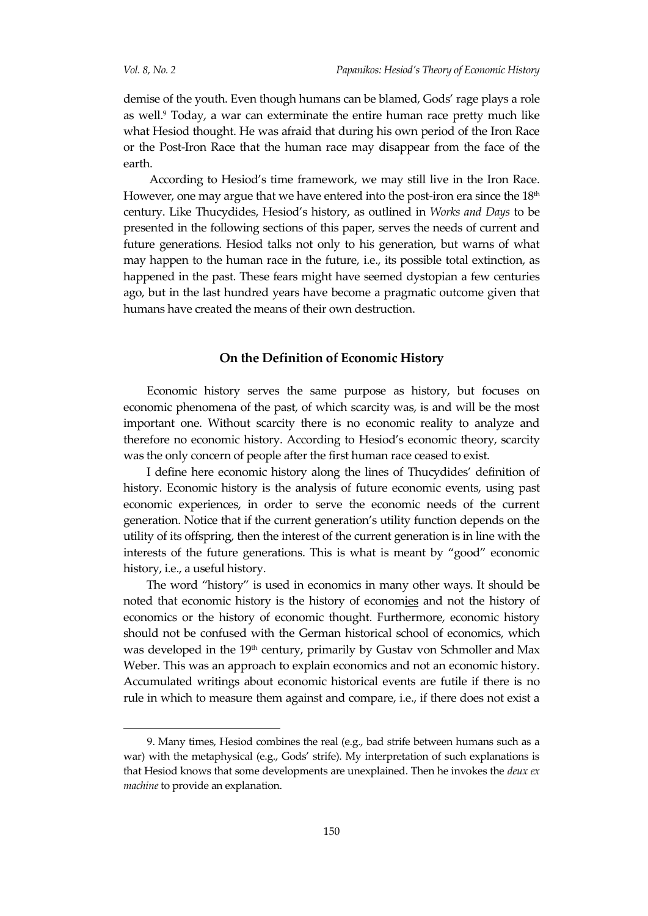demise of the youth. Even though humans can be blamed, Gods' rage plays a role as well.<sup>9</sup> Today, a war can exterminate the entire human race pretty much like what Hesiod thought. He was afraid that during his own period of the Iron Race or the Post-Iron Race that the human race may disappear from the face of the earth.

According to Hesiod's time framework, we may still live in the Iron Race. However, one may argue that we have entered into the post-iron era since the 18<sup>th</sup> century. Like Thucydides, Hesiod's history, as outlined in *Works and Days* to be presented in the following sections of this paper, serves the needs of current and future generations. Hesiod talks not only to his generation, but warns of what may happen to the human race in the future, i.e., its possible total extinction, as happened in the past. These fears might have seemed dystopian a few centuries ago, but in the last hundred years have become a pragmatic outcome given that humans have created the means of their own destruction.

## **On the Definition of Economic History**

Economic history serves the same purpose as history, but focuses on economic phenomena of the past, of which scarcity was, is and will be the most important one. Without scarcity there is no economic reality to analyze and therefore no economic history. According to Hesiod's economic theory, scarcity was the only concern of people after the first human race ceased to exist.

I define here economic history along the lines of Thucydides' definition of history. Economic history is the analysis of future economic events, using past economic experiences, in order to serve the economic needs of the current generation. Notice that if the current generation's utility function depends on the utility of its offspring, then the interest of the current generation is in line with the interests of the future generations. This is what is meant by "good" economic history, i.e., a useful history.

The word "history" is used in economics in many other ways. It should be noted that economic history is the history of economies and not the history of economics or the history of economic thought. Furthermore, economic history should not be confused with the German historical school of economics, which was developed in the 19<sup>th</sup> century, primarily by Gustav von Schmoller and Max Weber. This was an approach to explain economics and not an economic history. Accumulated writings about economic historical events are futile if there is no rule in which to measure them against and compare, i.e., if there does not exist a

<sup>9.</sup> Many times, Hesiod combines the real (e.g., bad strife between humans such as a war) with the metaphysical (e.g., Gods' strife). My interpretation of such explanations is that Hesiod knows that some developments are unexplained. Then he invokes the *deux ex machine* to provide an explanation.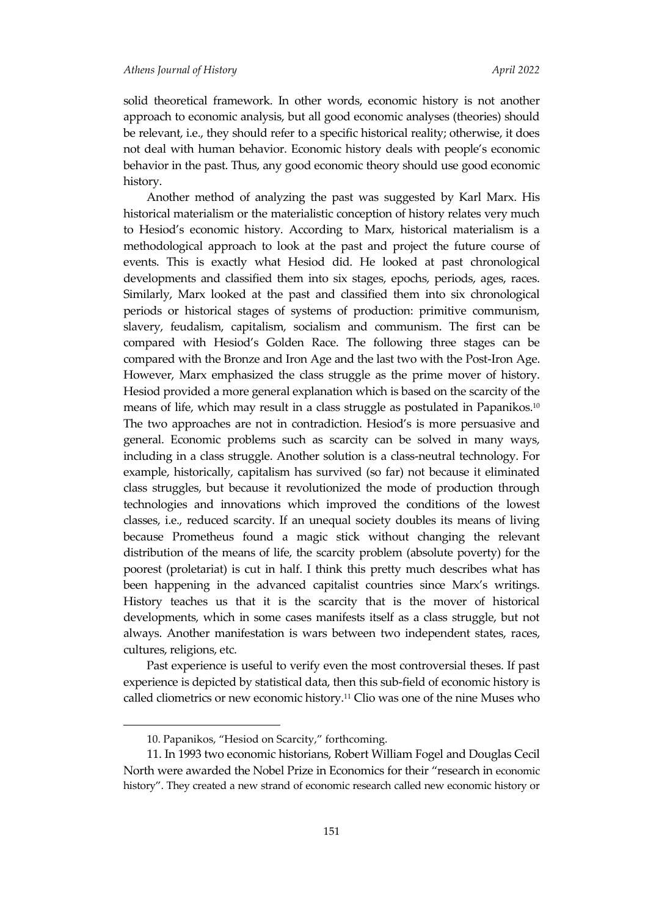solid theoretical framework. In other words, economic history is not another approach to economic analysis, but all good economic analyses (theories) should be relevant, i.e., they should refer to a specific historical reality; otherwise, it does not deal with human behavior. Economic history deals with people's economic behavior in the past. Thus, any good economic theory should use good economic history.

Another method of analyzing the past was suggested by Karl Marx. His historical materialism or the materialistic conception of history relates very much to Hesiod's economic history. According to Marx, historical materialism is a methodological approach to look at the past and project the future course of events. This is exactly what Hesiod did. He looked at past chronological developments and classified them into six stages, epochs, periods, ages, races. Similarly, Marx looked at the past and classified them into six chronological periods or historical stages of systems of production: primitive communism, slavery, feudalism, capitalism, socialism and communism. The first can be compared with Hesiod's Golden Race. The following three stages can be compared with the Bronze and Iron Age and the last two with the Post-Iron Age. However, Marx emphasized the class struggle as the prime mover of history. Hesiod provided a more general explanation which is based on the scarcity of the means of life, which may result in a class struggle as postulated in Papanikos. 10 The two approaches are not in contradiction. Hesiod's is more persuasive and general. Economic problems such as scarcity can be solved in many ways, including in a class struggle. Another solution is a class-neutral technology. For example, historically, capitalism has survived (so far) not because it eliminated class struggles, but because it revolutionized the mode of production through technologies and innovations which improved the conditions of the lowest classes, i.e., reduced scarcity. If an unequal society doubles its means of living because Prometheus found a magic stick without changing the relevant distribution of the means of life, the scarcity problem (absolute poverty) for the poorest (proletariat) is cut in half. I think this pretty much describes what has been happening in the advanced capitalist countries since Marx's writings. History teaches us that it is the scarcity that is the mover of historical developments, which in some cases manifests itself as a class struggle, but not always. Another manifestation is wars between two independent states, races, cultures, religions, etc.

Past experience is useful to verify even the most controversial theses. If past experience is depicted by statistical data, then this sub-field of economic history is called cliometrics or new economic history.<sup>11</sup> Clio was one of the nine Muses who

 $\overline{a}$ 

<sup>10.</sup> Papanikos, "Hesiod on Scarcity," forthcoming.

<sup>11.</sup> In 1993 two economic historians, Robert William Fogel and Douglas Cecil North were awarded the Nobel Prize in Economics for their "research in economic history". They created a new strand of economic research called new economic history or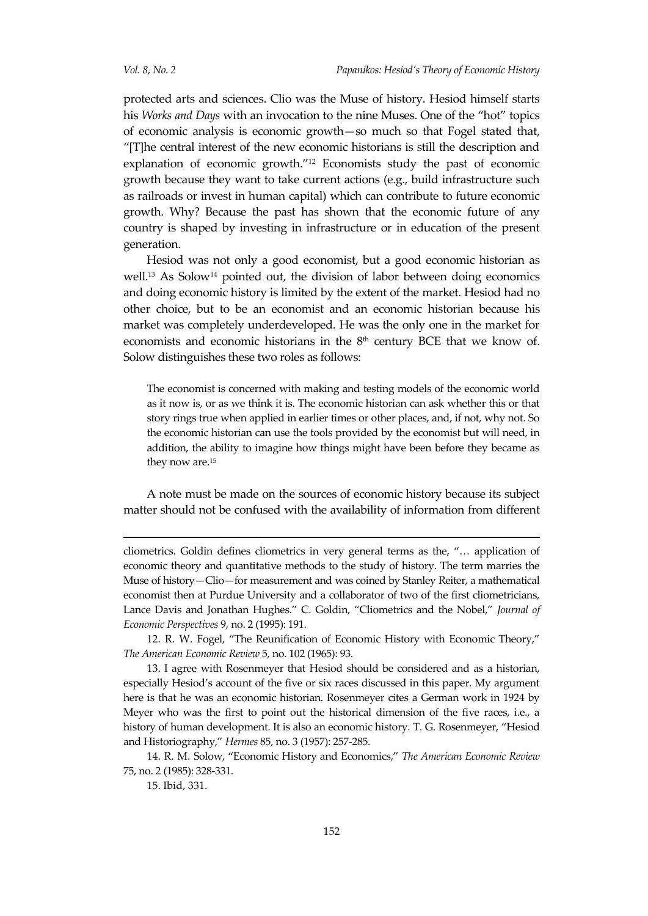protected arts and sciences. Clio was the Muse of history. Hesiod himself starts his *Works and Days* with an invocation to the nine Muses. One of the "hot" topics of economic analysis is economic growth—so much so that Fogel stated that, " $[T]$ he central interest of the new economic historians is still the description and explanation of economic growth."<sup>12</sup> Economists study the past of economic growth because they want to take current actions (e.g., build infrastructure such as railroads or invest in human capital) which can contribute to future economic growth. Why? Because the past has shown that the economic future of any country is shaped by investing in infrastructure or in education of the present generation.

Hesiod was not only a good economist, but a good economic historian as well.<sup>13</sup> As Solow<sup>14</sup> pointed out, the division of labor between doing economics and doing economic history is limited by the extent of the market. Hesiod had no other choice, but to be an economist and an economic historian because his market was completely underdeveloped. He was the only one in the market for economists and economic historians in the  $8<sup>th</sup>$  century BCE that we know of. Solow distinguishes these two roles as follows:

The economist is concerned with making and testing models of the economic world as it now is, or as we think it is. The economic historian can ask whether this or that story rings true when applied in earlier times or other places, and, if not, why not. So the economic historian can use the tools provided by the economist but will need, in addition, the ability to imagine how things might have been before they became as they now are.<sup>15</sup>

A note must be made on the sources of economic history because its subject matter should not be confused with the availability of information from different

12. R. W. Fogel, "The Reunification of Economic History with Economic Theory," *The American Economic Review* 5, no. 102 (1965): 93.

13. I agree with Rosenmeyer that Hesiod should be considered and as a historian, especially Hesiod's account of the five or six races discussed in this paper. My argument here is that he was an economic historian. Rosenmeyer cites a German work in 1924 by Meyer who was the first to point out the historical dimension of the five races, i.e., a history of human development. It is also an economic history. T. G. Rosenmeyer, "Hesiod and Historiography," *Hermes* 85, no. 3 (1957): 257-285.

14. R. M. Solow, "Economic History and Economics," *The American Economic Review* 75, no. 2 (1985): 328-331.

15. Ibid, 331.

-

cliometrics. Goldin defines cliometrics in very general terms as the, "… application of economic theory and quantitative methods to the study of history. The term marries the Muse of history—Clio—for measurement and was coined by Stanley Reiter, a mathematical economist then at Purdue University and a collaborator of two of the first cliometricians, Lance Davis and Jonathan Hughes." C. Goldin, "Cliometrics and the Nobel," *Journal of Economic Perspectives* 9, no. 2 (1995): 191.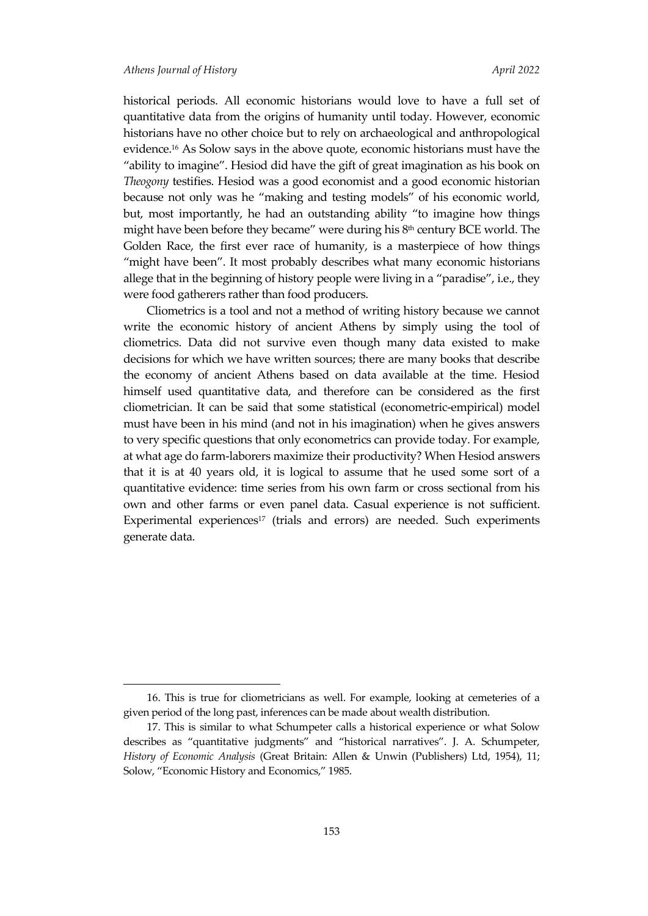historical periods. All economic historians would love to have a full set of quantitative data from the origins of humanity until today. However, economic historians have no other choice but to rely on archaeological and anthropological evidence.<sup>16</sup> As Solow says in the above quote, economic historians must have the "ability to imagine". Hesiod did have the gift of great imagination as his book on *Theogony* testifies. Hesiod was a good economist and a good economic historian because not only was he "making and testing models" of his economic world, but, most importantly, he had an outstanding ability "to imagine how things might have been before they became" were during his  $8<sup>th</sup>$  century BCE world. The Golden Race, the first ever race of humanity, is a masterpiece of how things "might have been". It most probably describes what many economic historians allege that in the beginning of history people were living in a "paradise", i.e., they were food gatherers rather than food producers.

Cliometrics is a tool and not a method of writing history because we cannot write the economic history of ancient Athens by simply using the tool of cliometrics. Data did not survive even though many data existed to make decisions for which we have written sources; there are many books that describe the economy of ancient Athens based on data available at the time. Hesiod himself used quantitative data, and therefore can be considered as the first cliometrician. It can be said that some statistical (econometric-empirical) model must have been in his mind (and not in his imagination) when he gives answers to very specific questions that only econometrics can provide today. For example, at what age do farm-laborers maximize their productivity? When Hesiod answers that it is at 40 years old, it is logical to assume that he used some sort of a quantitative evidence: time series from his own farm or cross sectional from his own and other farms or even panel data. Casual experience is not sufficient. Experimental experiences<sup>17</sup> (trials and errors) are needed. Such experiments generate data.

<sup>16.</sup> This is true for cliometricians as well. For example, looking at cemeteries of a given period of the long past, inferences can be made about wealth distribution.

<sup>17.</sup> This is similar to what Schumpeter calls a historical experience or what Solow describes as "quantitative judgments" and "historical narratives". J. A. Schumpeter, *History of Economic Analysis* (Great Britain: Allen & Unwin (Publishers) Ltd, 1954), 11; Solow, "Economic History and Economics," 1985.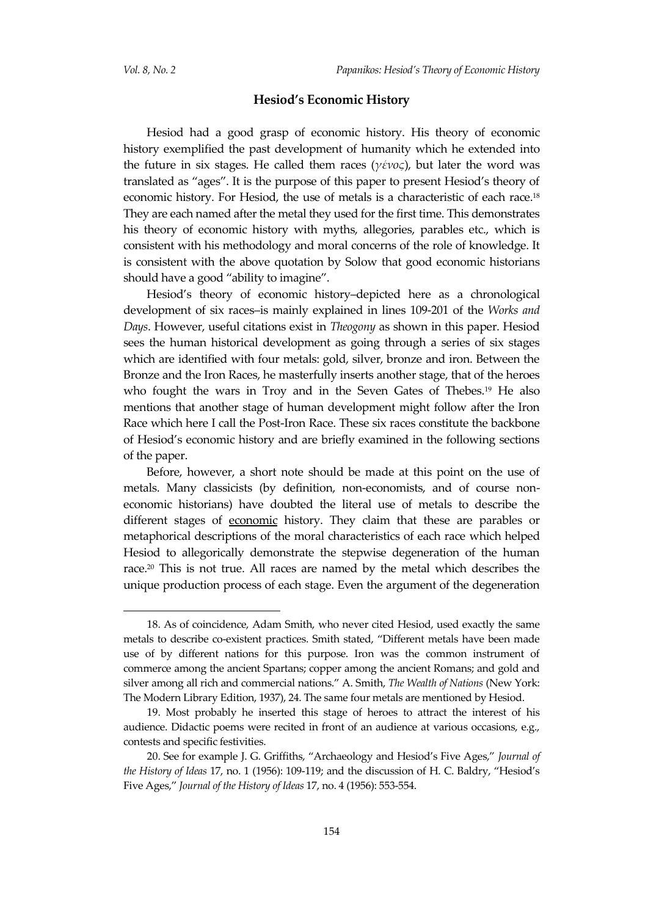#### **Hesiod's Economic History**

Hesiod had a good grasp of economic history. His theory of economic history exemplified the past development of humanity which he extended into the future in six stages. He called them races (*γένος*), but later the word was translated as "ages". It is the purpose of this paper to present Hesiod's theory of economic history. For Hesiod, the use of metals is a characteristic of each race.<sup>18</sup> They are each named after the metal they used for the first time. This demonstrates his theory of economic history with myths, allegories, parables etc., which is consistent with his methodology and moral concerns of the role of knowledge. It is consistent with the above quotation by Solow that good economic historians should have a good "ability to imagine".

Hesiod's theory of economic history–depicted here as a chronological development of six races–is mainly explained in lines 109-201 of the *Works and Days*. However, useful citations exist in *Theogony* as shown in this paper. Hesiod sees the human historical development as going through a series of six stages which are identified with four metals: gold, silver, bronze and iron. Between the Bronze and the Iron Races, he masterfully inserts another stage, that of the heroes who fought the wars in Troy and in the Seven Gates of Thebes.<sup>19</sup> He also mentions that another stage of human development might follow after the Iron Race which here I call the Post-Iron Race. These six races constitute the backbone of Hesiod's economic history and are briefly examined in the following sections of the paper.

Before, however, a short note should be made at this point on the use of metals. Many classicists (by definition, non-economists, and of course noneconomic historians) have doubted the literal use of metals to describe the different stages of economic history. They claim that these are parables or metaphorical descriptions of the moral characteristics of each race which helped Hesiod to allegorically demonstrate the stepwise degeneration of the human race.<sup>20</sup> This is not true. All races are named by the metal which describes the unique production process of each stage. Even the argument of the degeneration

<sup>18.</sup> As of coincidence, Adam Smith, who never cited Hesiod, used exactly the same metals to describe co-existent practices. Smith stated, "Different metals have been made use of by different nations for this purpose. Iron was the common instrument of commerce among the ancient Spartans; copper among the ancient Romans; and gold and silver among all rich and commercial nations." A. Smith, *The Wealth of Nations* (New York: The Modern Library Edition, 1937), 24. The same four metals are mentioned by Hesiod.

<sup>19.</sup> Most probably he inserted this stage of heroes to attract the interest of his audience. Didactic poems were recited in front of an audience at various occasions, e.g., contests and specific festivities.

<sup>20.</sup> See for example J. G. Griffiths, "Archaeology and Hesiod's Five Ages," *Journal of the History of Ideas* 17, no. 1 (1956): 109-119; and the discussion of H. C. Baldry, "Hesiod's Five Ages," *Journal of the History of Ideas* 17, no. 4 (1956): 553-554.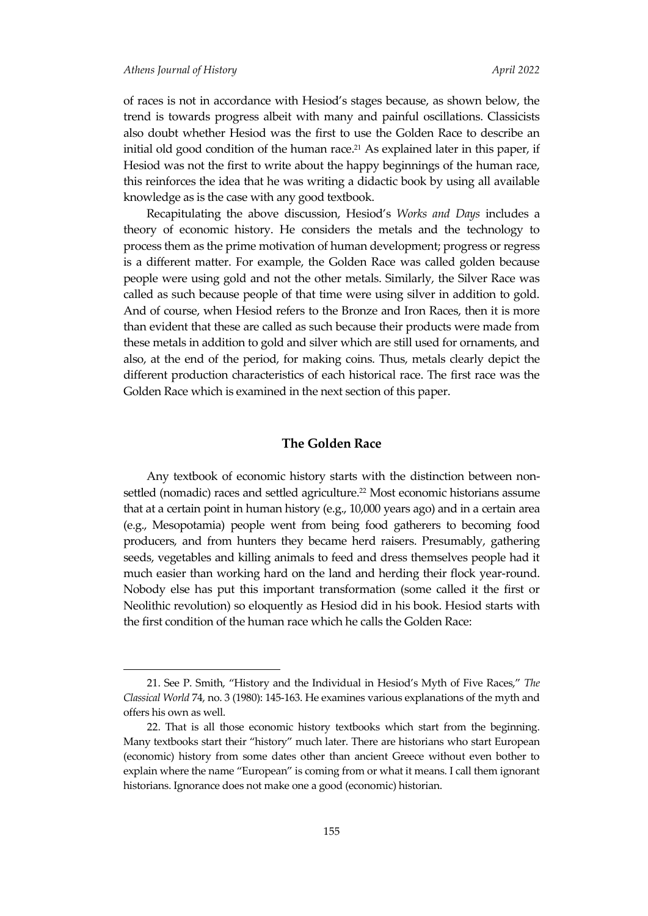of races is not in accordance with Hesiod's stages because, as shown below, the trend is towards progress albeit with many and painful oscillations. Classicists also doubt whether Hesiod was the first to use the Golden Race to describe an initial old good condition of the human race.<sup>21</sup> As explained later in this paper, if Hesiod was not the first to write about the happy beginnings of the human race, this reinforces the idea that he was writing a didactic book by using all available knowledge as is the case with any good textbook.

Recapitulating the above discussion, Hesiod's *Works and Days* includes a theory of economic history. He considers the metals and the technology to process them as the prime motivation of human development; progress or regress is a different matter. For example, the Golden Race was called golden because people were using gold and not the other metals. Similarly, the Silver Race was called as such because people of that time were using silver in addition to gold. And of course, when Hesiod refers to the Bronze and Iron Races, then it is more than evident that these are called as such because their products were made from these metals in addition to gold and silver which are still used for ornaments, and also, at the end of the period, for making coins. Thus, metals clearly depict the different production characteristics of each historical race. The first race was the Golden Race which is examined in the next section of this paper.

#### **The Golden Race**

Any textbook of economic history starts with the distinction between nonsettled (nomadic) races and settled agriculture.<sup>22</sup> Most economic historians assume that at a certain point in human history (e.g., 10,000 years ago) and in a certain area (e.g., Mesopotamia) people went from being food gatherers to becoming food producers, and from hunters they became herd raisers. Presumably, gathering seeds, vegetables and killing animals to feed and dress themselves people had it much easier than working hard on the land and herding their flock year-round. Nobody else has put this important transformation (some called it the first or Neolithic revolution) so eloquently as Hesiod did in his book. Hesiod starts with the first condition of the human race which he calls the Golden Race:

<sup>21.</sup> See P. Smith, "History and the Individual in Hesiod's Myth of Five Races," *The Classical World* 74, no. 3 (1980): 145-163. He examines various explanations of the myth and offers his own as well.

<sup>22.</sup> That is all those economic history textbooks which start from the beginning. Many textbooks start their "history" much later. There are historians who start European (economic) history from some dates other than ancient Greece without even bother to explain where the name "European" is coming from or what it means. I call them ignorant historians. Ignorance does not make one a good (economic) historian.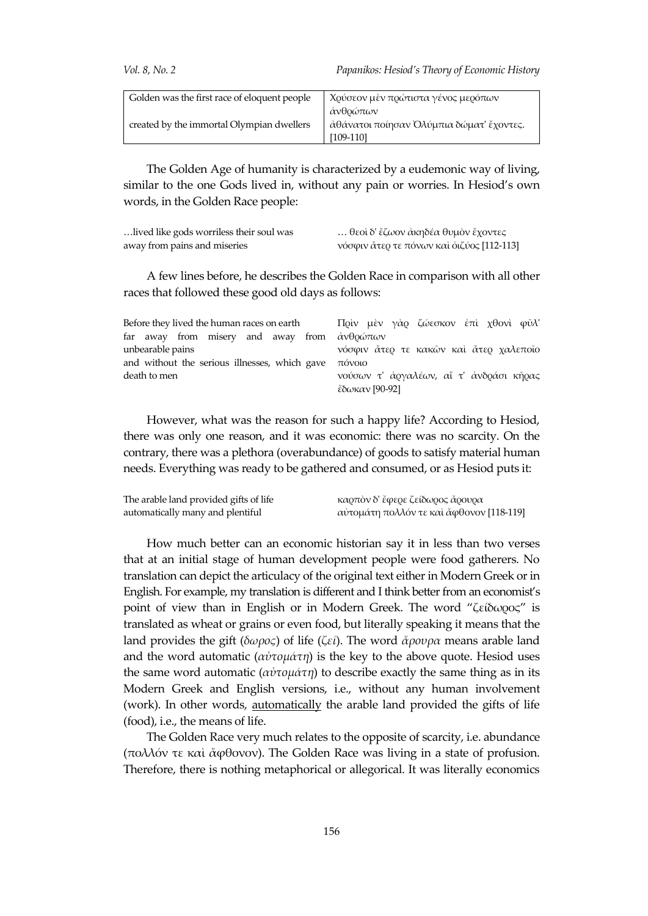| Golden was the first race of eloquent people | Χούσεον μὲν ποώτιστα γένος μερόπων       |
|----------------------------------------------|------------------------------------------|
|                                              | ανθρώπων                                 |
| created by the immortal Olympian dwellers    | άθάνατοι ποίησαν Ολύμπια δώματ' ἔχοντες. |
|                                              | [109-110]                                |

The Golden Age of humanity is characterized by a eudemonic way of living, similar to the one Gods lived in, without any pain or worries. In Hesiod's own words, in the Golden Race people:

| lived like gods worriless their soul was | θεοὶ δ' ἔζωον ἀκηδέα θυμὸν ἔχοντες        |
|------------------------------------------|-------------------------------------------|
| away from pains and miseries             | νόσφιν ἄτερ τε πόνων καὶ ὀιζύος [112-113] |

A few lines before, he describes the Golden Race in comparison with all other races that followed these good old days as follows:

| Before they lived the human races on earth                                                    | Πρὶν μὲν γὰρ ζώεσκον ἐπὶ χθονὶ φῦλ'     |
|-----------------------------------------------------------------------------------------------|-----------------------------------------|
| far away from misery and away from $\dot{\alpha} \nu \theta \rho \dot{\omega} \pi \omega \nu$ |                                         |
| unbearable pains                                                                              | νόσφιν άτερ τε κακών και άτερ χαλεποίο  |
| and without the serious illnesses, which gave                                                 | πόνοιο                                  |
| death to men                                                                                  | νούσων τ' άργαλέων, αι τ' ανδράσι κήρας |
|                                                                                               | έδωκαν [90-92]                          |

However, what was the reason for such a happy life? According to Hesiod, there was only one reason, and it was economic: there was no scarcity. On the contrary, there was a plethora (overabundance) of goods to satisfy material human needs. Everything was ready to be gathered and consumed, or as Hesiod puts it:

| The arable land provided gifts of life | καρπὸν δ' ἔφερε ζείδωρος ἄρουρα          |
|----------------------------------------|------------------------------------------|
| automatically many and plentiful       | αὐτομάτη πολλόν τε καὶ ἄφθονον [118-119] |

How much better can an economic historian say it in less than two verses that at an initial stage of human development people were food gatherers. No translation can depict the articulacy of the original text either in Modern Greek or in English. For example, my translation is different and I think better from an economist's point of view than in English or in Modern Greek. The word "ζείδωρος" is translated as wheat or grains or even food, but literally speaking it means that the land provides the gift (*δωρος*) of life (*ζεί*). The word *ἄρουρα* means arable land and the word automatic (*αὐτομάτη*) is the key to the above quote. Hesiod uses the same word automatic (*αὐτομάτη*) to describe exactly the same thing as in its Modern Greek and English versions, i.e., without any human involvement (work). In other words, automatically the arable land provided the gifts of life (food), i.e., the means of life.

The Golden Race very much relates to the opposite of scarcity, i.e. abundance (πολλόν τε καὶ ἄφθονον). The Golden Race was living in a state of profusion. Therefore, there is nothing metaphorical or allegorical. It was literally economics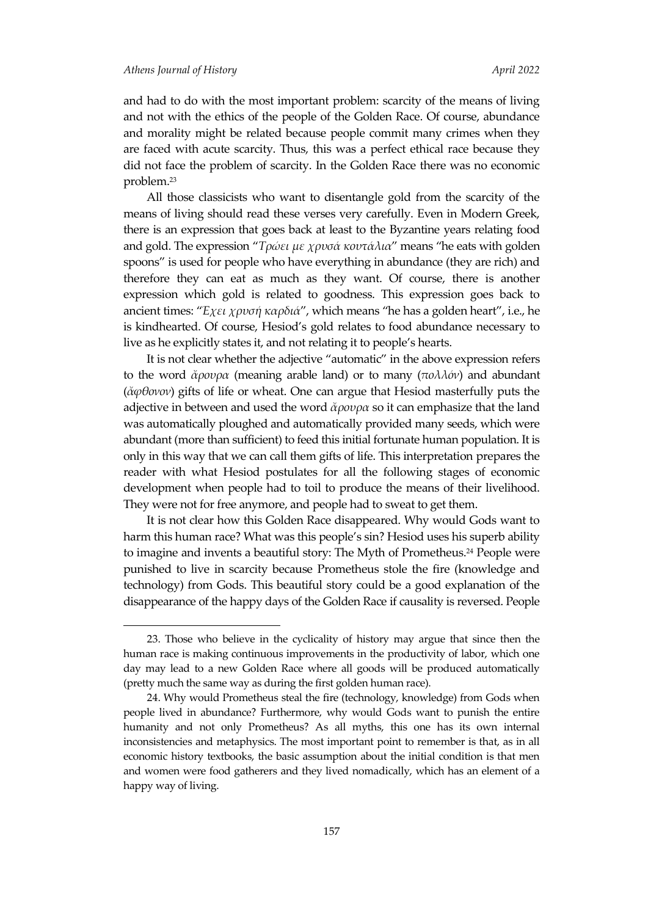l

and had to do with the most important problem: scarcity of the means of living and not with the ethics of the people of the Golden Race. Of course, abundance and morality might be related because people commit many crimes when they are faced with acute scarcity. Thus, this was a perfect ethical race because they did not face the problem of scarcity. In the Golden Race there was no economic problem.<sup>23</sup>

All those classicists who want to disentangle gold from the scarcity of the means of living should read these verses very carefully. Even in Modern Greek, there is an expression that goes back at least to the Byzantine years relating food and gold. The expression "*Τρώει με χρυσά κουτάλια*" means "he eats with golden spoons" is used for people who have everything in abundance (they are rich) and therefore they can eat as much as they want. Of course, there is another expression which gold is related to goodness. This expression goes back to ancient times: "*Έχει χρυσή καρδιά*", which means "he has a golden heart", i.e., he is kindhearted. Of course, Hesiod's gold relates to food abundance necessary to live as he explicitly states it, and not relating it to people's hearts.

It is not clear whether the adjective "automatic" in the above expression refers to the word *ἄρουρα* (meaning arable land) or to many (*πολλόν*) and abundant (*ἄφθονον*) gifts of life or wheat. One can argue that Hesiod masterfully puts the adjective in between and used the word *ἄρουρα* so it can emphasize that the land was automatically ploughed and automatically provided many seeds, which were abundant (more than sufficient) to feed this initial fortunate human population. It is only in this way that we can call them gifts of life. This interpretation prepares the reader with what Hesiod postulates for all the following stages of economic development when people had to toil to produce the means of their livelihood. They were not for free anymore, and people had to sweat to get them.

It is not clear how this Golden Race disappeared. Why would Gods want to harm this human race? What was this people's sin? Hesiod uses his superb ability to imagine and invents a beautiful story: The Myth of Prometheus.<sup>24</sup> People were punished to live in scarcity because Prometheus stole the fire (knowledge and technology) from Gods. This beautiful story could be a good explanation of the disappearance of the happy days of the Golden Race if causality is reversed. People

<sup>23.</sup> Those who believe in the cyclicality of history may argue that since then the human race is making continuous improvements in the productivity of labor, which one day may lead to a new Golden Race where all goods will be produced automatically (pretty much the same way as during the first golden human race).

<sup>24.</sup> Why would Prometheus steal the fire (technology, knowledge) from Gods when people lived in abundance? Furthermore, why would Gods want to punish the entire humanity and not only Prometheus? As all myths, this one has its own internal inconsistencies and metaphysics. The most important point to remember is that, as in all economic history textbooks, the basic assumption about the initial condition is that men and women were food gatherers and they lived nomadically, which has an element of a happy way of living.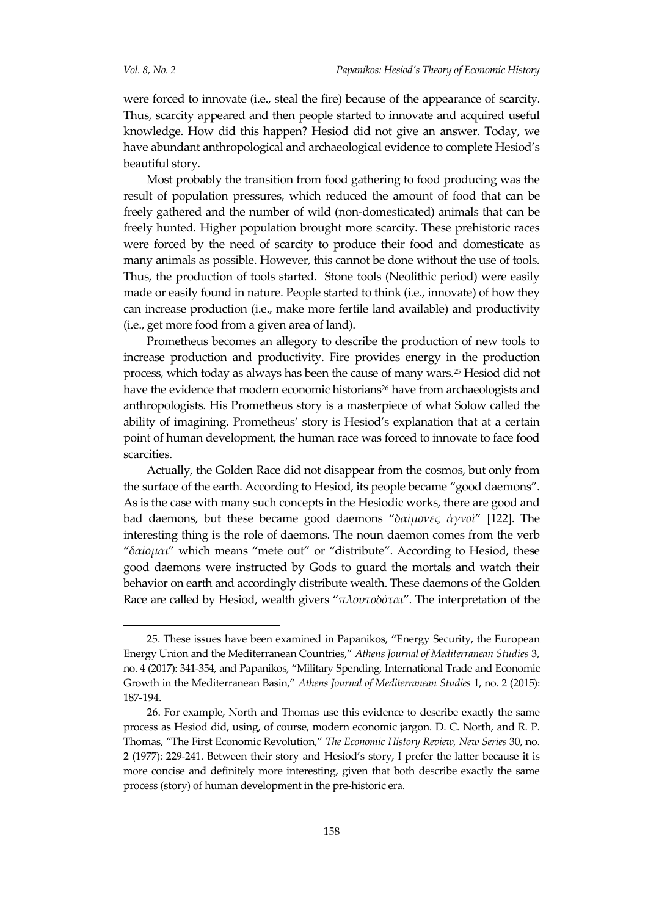l

were forced to innovate (i.e., steal the fire) because of the appearance of scarcity. Thus, scarcity appeared and then people started to innovate and acquired useful knowledge. How did this happen? Hesiod did not give an answer. Today, we have abundant anthropological and archaeological evidence to complete Hesiod's beautiful story.

Most probably the transition from food gathering to food producing was the result of population pressures, which reduced the amount of food that can be freely gathered and the number of wild (non-domesticated) animals that can be freely hunted. Higher population brought more scarcity. These prehistoric races were forced by the need of scarcity to produce their food and domesticate as many animals as possible. However, this cannot be done without the use of tools. Thus, the production of tools started. Stone tools (Neolithic period) were easily made or easily found in nature. People started to think (i.e., innovate) of how they can increase production (i.e., make more fertile land available) and productivity (i.e., get more food from a given area of land).

Prometheus becomes an allegory to describe the production of new tools to increase production and productivity. Fire provides energy in the production process, which today as always has been the cause of many wars.<sup>25</sup> Hesiod did not have the evidence that modern economic historians<sup>26</sup> have from archaeologists and anthropologists. His Prometheus story is a masterpiece of what Solow called the ability of imagining. Prometheus' story is Hesiod's explanation that at a certain point of human development, the human race was forced to innovate to face food scarcities.

Actually, the Golden Race did not disappear from the cosmos, but only from the surface of the earth. According to Hesiod, its people became "good daemons". As is the case with many such concepts in the Hesiodic works, there are good and bad daemons, but these became good daemons "δαίμονες άγνοι" [122]. The interesting thing is the role of daemons. The noun daemon comes from the verb "*δαίομαι*" which means "mete out" or "distribute". According to Hesiod, these good daemons were instructed by Gods to guard the mortals and watch their behavior on earth and accordingly distribute wealth. These daemons of the Golden Race are called by Hesiod, wealth givers "*πλουτοδόται*". The interpretation of the

<sup>25.</sup> These issues have been examined in Papanikos, "Energy Security, the European Energy Union and the Mediterranean Countries," *Athens Journal of Mediterranean Studies* 3, no. 4 (2017): 341-354, and Papanikos, "Military Spending, International Trade and Economic Growth in the Mediterranean Basin," *Athens Journal of Mediterranean Studies* 1, no. 2 (2015): 187-194.

<sup>26.</sup> For example, North and Thomas use this evidence to describe exactly the same process as Hesiod did, using, of course, modern economic jargon. D. C. North, and R. P. Thomas, "The First Economic Revolution," *The Economic History Review, New Series* 30, no. 2 (1977): 229-241. Between their story and Hesiod's story, I prefer the latter because it is more concise and definitely more interesting, given that both describe exactly the same process (story) of human development in the pre-historic era.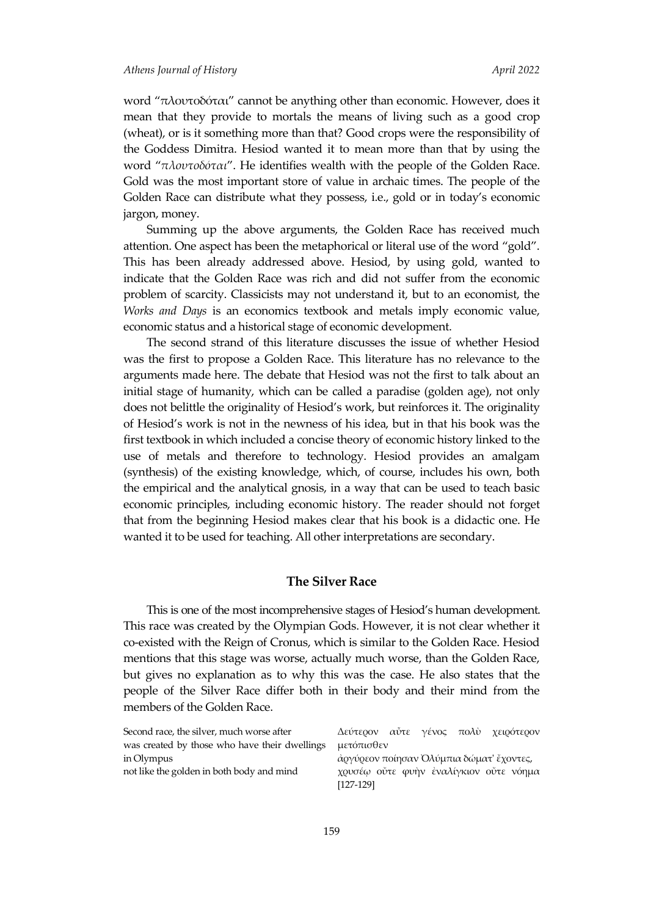#### *Athens Journal of History April 2022*

word "πλουτοδόται" cannot be anything other than economic. However, does it mean that they provide to mortals the means of living such as a good crop (wheat), or is it something more than that? Good crops were the responsibility of the Goddess Dimitra. Hesiod wanted it to mean more than that by using the word "*πλουτοδόται*". He identifies wealth with the people of the Golden Race. Gold was the most important store of value in archaic times. The people of the Golden Race can distribute what they possess, i.e., gold or in today's economic jargon, money.

Summing up the above arguments, the Golden Race has received much attention. One aspect has been the metaphorical or literal use of the word "gold". This has been already addressed above. Hesiod, by using gold, wanted to indicate that the Golden Race was rich and did not suffer from the economic problem of scarcity. Classicists may not understand it, but to an economist, the *Works and Days* is an economics textbook and metals imply economic value, economic status and a historical stage of economic development.

The second strand of this literature discusses the issue of whether Hesiod was the first to propose a Golden Race. This literature has no relevance to the arguments made here. The debate that Hesiod was not the first to talk about an initial stage of humanity, which can be called a paradise (golden age), not only does not belittle the originality of Hesiod's work, but reinforces it. The originality of Hesiod's work is not in the newness of his idea, but in that his book was the first textbook in which included a concise theory of economic history linked to the use of metals and therefore to technology. Hesiod provides an amalgam (synthesis) of the existing knowledge, which, of course, includes his own, both the empirical and the analytical gnosis, in a way that can be used to teach basic economic principles, including economic history. The reader should not forget that from the beginning Hesiod makes clear that his book is a didactic one. He wanted it to be used for teaching. All other interpretations are secondary.

### **The Silver Race**

This is one of the most incomprehensive stages of Hesiod's human development. This race was created by the Olympian Gods. However, it is not clear whether it co-existed with the Reign of Cronus, which is similar to the Golden Race. Hesiod mentions that this stage was worse, actually much worse, than the Golden Race, but gives no explanation as to why this was the case. He also states that the people of the Silver Race differ both in their body and their mind from the members of the Golden Race.

| Second race, the silver, much worse after     | Δεύτερον αὖτε γένος πολὺ χειρότερον                 |  |  |  |
|-----------------------------------------------|-----------------------------------------------------|--|--|--|
| was created by those who have their dwellings | μετόπισθεν                                          |  |  |  |
| in Olympus                                    | άργύρεον ποίησαν Ολύμπια δώματ' έχοντες,            |  |  |  |
| not like the golden in both body and mind     | χουσέω ούτε φυήν εναλίγκιον ούτε νόημα<br>[127-129] |  |  |  |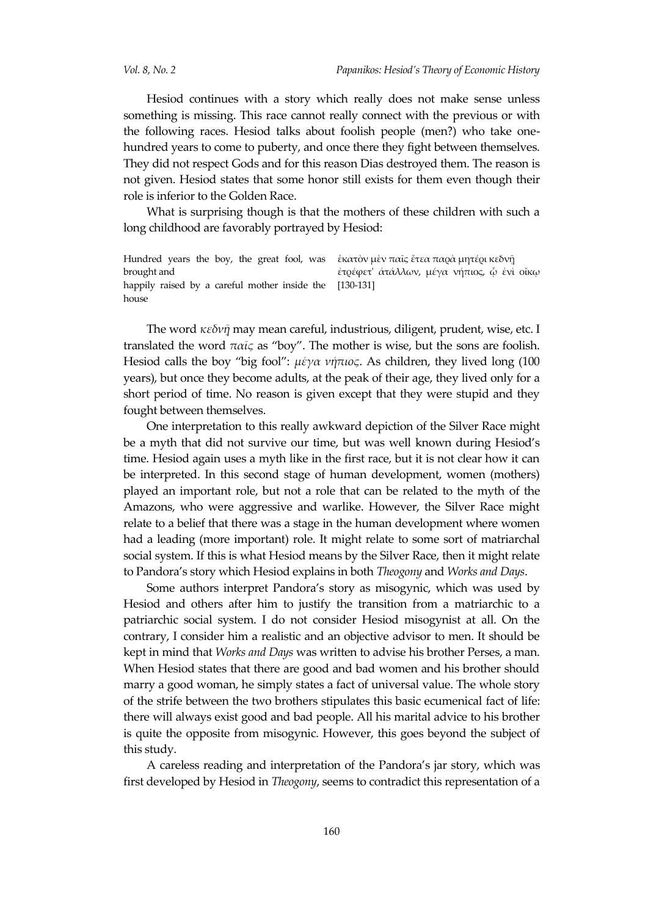Hesiod continues with a story which really does not make sense unless something is missing. This race cannot really connect with the previous or with the following races. Hesiod talks about foolish people (men?) who take onehundred years to come to puberty, and once there they fight between themselves. They did not respect Gods and for this reason Dias destroyed them. The reason is not given. Hesiod states that some honor still exists for them even though their role is inferior to the Golden Race.

What is surprising though is that the mothers of these children with such a long childhood are favorably portrayed by Hesiod:

Hundred years the boy, the great fool, was éκατὸν μὲν παῖς ἔτεα παǫὰ μητέǫικεδνῆ brought and happily raised by a careful mother inside the [130-131] house ἐτρέφετ' ἀτάλλων, μέγα νήπιος, ᾧ ἐνὶ οἴκῳ

The word *κεδνῇ* may mean careful, industrious, diligent, prudent, wise, etc. I translated the word *παῖς* as "boy". The mother is wise, but the sons are foolish. Hesiod calls the boy "big fool": *μέγα νήπιος*. As children, they lived long (100 years), but once they become adults, at the peak of their age, they lived only for a short period of time. No reason is given except that they were stupid and they fought between themselves.

One interpretation to this really awkward depiction of the Silver Race might be a myth that did not survive our time, but was well known during Hesiod's time. Hesiod again uses a myth like in the first race, but it is not clear how it can be interpreted. In this second stage of human development, women (mothers) played an important role, but not a role that can be related to the myth of the Amazons, who were aggressive and warlike. However, the Silver Race might relate to a belief that there was a stage in the human development where women had a leading (more important) role. It might relate to some sort of matriarchal social system. If this is what Hesiod means by the Silver Race, then it might relate to Pandora's story which Hesiod explains in both *Theogony* and *Works and Days*.

Some authors interpret Pandora's story as misogynic, which was used by Hesiod and others after him to justify the transition from a matriarchic to a patriarchic social system. I do not consider Hesiod misogynist at all. On the contrary, I consider him a realistic and an objective advisor to men. It should be kept in mind that *Works and Days* was written to advise his brother Perses, a man. When Hesiod states that there are good and bad women and his brother should marry a good woman, he simply states a fact of universal value. The whole story of the strife between the two brothers stipulates this basic ecumenical fact of life: there will always exist good and bad people. All his marital advice to his brother is quite the opposite from misogynic. However, this goes beyond the subject of this study.

A careless reading and interpretation of the Pandora's jar story, which was first developed by Hesiod in *Theogony*, seems to contradict this representation of a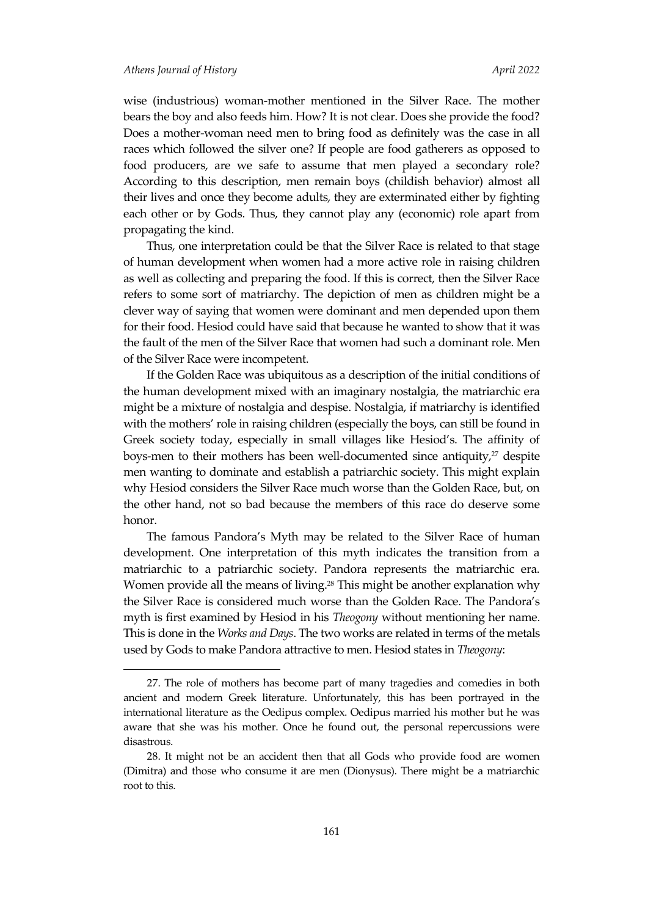$\overline{\phantom{a}}$ 

wise (industrious) woman-mother mentioned in the Silver Race. The mother bears the boy and also feeds him. How? It is not clear. Does she provide the food? Does a mother-woman need men to bring food as definitely was the case in all races which followed the silver one? If people are food gatherers as opposed to food producers, are we safe to assume that men played a secondary role? According to this description, men remain boys (childish behavior) almost all their lives and once they become adults, they are exterminated either by fighting each other or by Gods. Thus, they cannot play any (economic) role apart from propagating the kind.

Thus, one interpretation could be that the Silver Race is related to that stage of human development when women had a more active role in raising children as well as collecting and preparing the food. If this is correct, then the Silver Race refers to some sort of matriarchy. The depiction of men as children might be a clever way of saying that women were dominant and men depended upon them for their food. Hesiod could have said that because he wanted to show that it was the fault of the men of the Silver Race that women had such a dominant role. Men of the Silver Race were incompetent.

If the Golden Race was ubiquitous as a description of the initial conditions of the human development mixed with an imaginary nostalgia, the matriarchic era might be a mixture of nostalgia and despise. Nostalgia, if matriarchy is identified with the mothers' role in raising children (especially the boys, can still be found in Greek society today, especially in small villages like Hesiod's. The affinity of boys-men to their mothers has been well-documented since antiquity, $27$  despite men wanting to dominate and establish a patriarchic society. This might explain why Hesiod considers the Silver Race much worse than the Golden Race, but, on the other hand, not so bad because the members of this race do deserve some honor.

The famous Pandora's Myth may be related to the Silver Race of human development. One interpretation of this myth indicates the transition from a matriarchic to a patriarchic society. Pandora represents the matriarchic era. Women provide all the means of living.<sup>28</sup> This might be another explanation why the Silver Race is considered much worse than the Golden Race. The Pandora's myth is first examined by Hesiod in his *Theogony* without mentioning her name. This is done in the *Works and Days*. The two works are related in terms of the metals used by Gods to make Pandora attractive to men. Hesiod states in *Theogony*:

<sup>27.</sup> The role of mothers has become part of many tragedies and comedies in both ancient and modern Greek literature. Unfortunately, this has been portrayed in the international literature as the Oedipus complex. Oedipus married his mother but he was aware that she was his mother. Once he found out, the personal repercussions were disastrous.

<sup>28.</sup> It might not be an accident then that all Gods who provide food are women (Dimitra) and those who consume it are men (Dionysus). There might be a matriarchic root to this.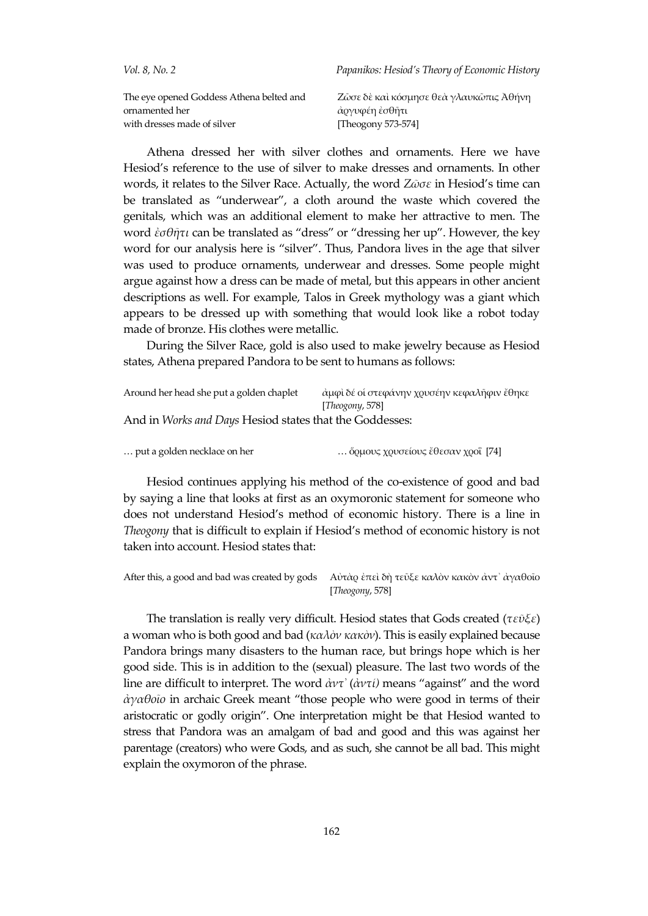| <i>Vol. 8. No.</i> 2                                       | Papanikos: Hesiod's Theory of Economic History            |
|------------------------------------------------------------|-----------------------------------------------------------|
| The eye opened Goddess Athena belted and<br>ornamented her | Ζῶσε δὲ καὶ κόσμησε θεὰ γλαυκῶπις Ἀθήνη<br>άργυφέη ἐσθῆτι |
| with dresses made of silver                                | [Theogony 573-574]                                        |

Athena dressed her with silver clothes and ornaments. Here we have Hesiod's reference to the use of silver to make dresses and ornaments. In other words, it relates to the Silver Race. Actually, the word *Ζῶσε* in Hesiod's time can be translated as "underwear", a cloth around the waste which covered the genitals, which was an additional element to make her attractive to men. The word *ἐσθῆτι* can be translated as "dress" or "dressing her up". However, the key word for our analysis here is "silver". Thus, Pandora lives in the age that silver was used to produce ornaments, underwear and dresses. Some people might argue against how a dress can be made of metal, but this appears in other ancient descriptions as well. For example, Talos in Greek mythology was a giant which appears to be dressed up with something that would look like a robot today made of bronze. His clothes were metallic.

During the Silver Race, gold is also used to make jewelry because as Hesiod states, Athena prepared Pandora to be sent to humans as follows:

| Around her head she put a golden chaplet                | άμφὶ δέ οἱ στεφάνην χουσέην κεφαλῆφιν ἔθηκε |
|---------------------------------------------------------|---------------------------------------------|
|                                                         | [Theogony, 578]                             |
| And in Works and Days Hesiod states that the Goddesses: |                                             |

Hesiod continues applying his method of the co-existence of good and bad by saying a line that looks at first as an oxymoronic statement for someone who does not understand Hesiod's method of economic history. There is a line in *Theogony* that is difficult to explain if Hesiod's method of economic history is not taken into account. Hesiod states that:

After this, a good and bad was created by gods Aὐτὰρ ἐπεὶ δὴ τεῦξε καλὸν κακὸν ἀντ<sup>᠈</sup> ἀγαθοῖο [*Theogony*, 578]

The translation is really very difficult. Hesiod states that Gods created (*τεῦξε*) a woman who is both good and bad (*καλὸν κακὸν*). This is easily explained because Pandora brings many disasters to the human race, but brings hope which is her good side. This is in addition to the (sexual) pleasure. The last two words of the line are difficult to interpret. The word *ἀντ᾽* (*ἀντί)* means "against" and the word *ἀγαθοῖο* in archaic Greek meant "those people who were good in terms of their aristocratic or godly origin". One interpretation might be that Hesiod wanted to stress that Pandora was an amalgam of bad and good and this was against her parentage (creators) who were Gods, and as such, she cannot be all bad. This might explain the oxymoron of the phrase.

<sup>…</sup> put a golden necklace on her … ὅρμους χρυσείους ἔθεσαν χροΐ [74]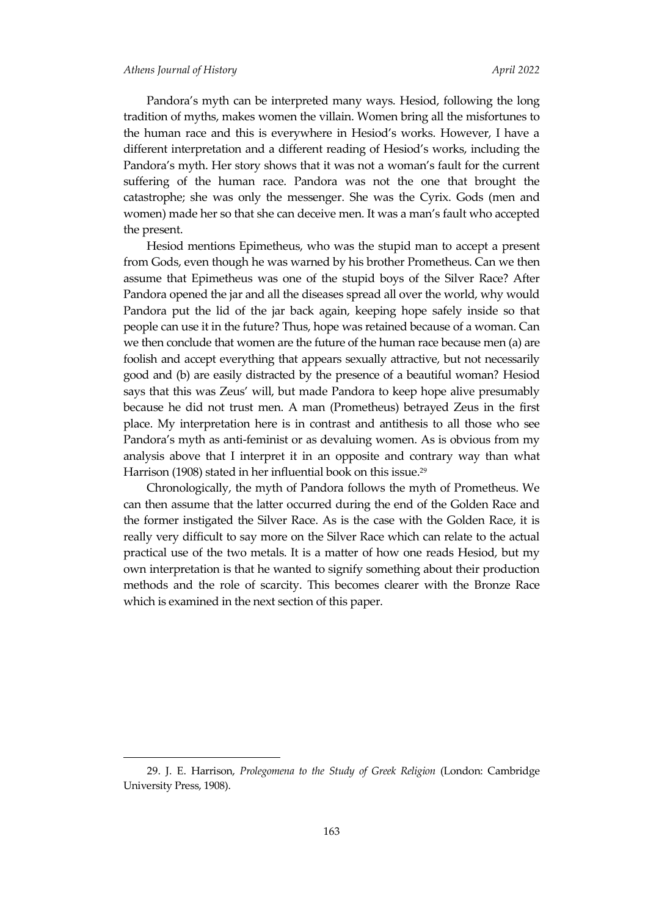l

Pandora's myth can be interpreted many ways. Hesiod, following the long tradition of myths, makes women the villain. Women bring all the misfortunes to the human race and this is everywhere in Hesiod's works. However, I have a different interpretation and a different reading of Hesiod's works, including the Pandora's myth. Her story shows that it was not a woman's fault for the current suffering of the human race. Pandora was not the one that brought the catastrophe; she was only the messenger. She was the Cyrix. Gods (men and women) made her so that she can deceive men. It was a man's fault who accepted the present.

Hesiod mentions Epimetheus, who was the stupid man to accept a present from Gods, even though he was warned by his brother Prometheus. Can we then assume that Epimetheus was one of the stupid boys of the Silver Race? After Pandora opened the jar and all the diseases spread all over the world, why would Pandora put the lid of the jar back again, keeping hope safely inside so that people can use it in the future? Thus, hope was retained because of a woman. Can we then conclude that women are the future of the human race because men (a) are foolish and accept everything that appears sexually attractive, but not necessarily good and (b) are easily distracted by the presence of a beautiful woman? Hesiod says that this was Zeus' will, but made Pandora to keep hope alive presumably because he did not trust men. A man (Prometheus) betrayed Zeus in the first place. My interpretation here is in contrast and antithesis to all those who see Pandora's myth as anti-feminist or as devaluing women. As is obvious from my analysis above that I interpret it in an opposite and contrary way than what Harrison (1908) stated in her influential book on this issue.<sup>29</sup>

Chronologically, the myth of Pandora follows the myth of Prometheus. We can then assume that the latter occurred during the end of the Golden Race and the former instigated the Silver Race. As is the case with the Golden Race, it is really very difficult to say more on the Silver Race which can relate to the actual practical use of the two metals. It is a matter of how one reads Hesiod, but my own interpretation is that he wanted to signify something about their production methods and the role of scarcity. This becomes clearer with the Bronze Race which is examined in the next section of this paper.

<sup>29.</sup> J. E. Harrison, *Prolegomena to the Study of Greek Religion* (London: Cambridge University Press, 1908).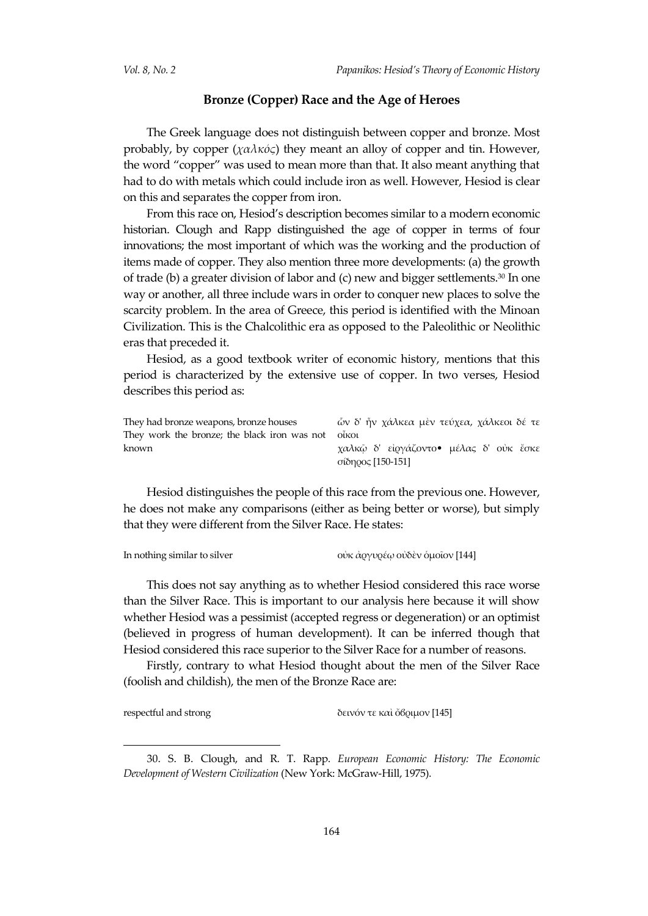# **Bronze (Copper) Race and the Age of Heroes**

The Greek language does not distinguish between copper and bronze. Most probably, by copper  $(\chi \alpha \lambda \kappa \phi \zeta)$  they meant an alloy of copper and tin. However, the word "copper" was used to mean more than that. It also meant anything that had to do with metals which could include iron as well. However, Hesiod is clear on this and separates the copper from iron.

From this race on, Hesiod's description becomes similar to a modern economic historian. Clough and Rapp distinguished the age of copper in terms of four innovations; the most important of which was the working and the production of items made of copper. They also mention three more developments: (a) the growth of trade (b) a greater division of labor and (c) new and bigger settlements.<sup>30</sup> In one way or another, all three include wars in order to conquer new places to solve the scarcity problem. In the area of Greece, this period is identified with the Minoan Civilization. This is the Chalcolithic era as opposed to the Paleolithic or Neolithic eras that preceded it.

Hesiod, as a good textbook writer of economic history, mentions that this period is characterized by the extensive use of copper. In two verses, Hesiod describes this period as:

| They had bronze weapons, bronze houses               | ών δ' ἦν χάλκεα μὲν τεύχεα, χάλκεοι δέ τε |
|------------------------------------------------------|-------------------------------------------|
| They work the bronze; the black iron was not olivour |                                           |
| known                                                | χαλκῶ δ' εἰργάζοντο• μέλας δ' οὐκ ἔσκε    |
|                                                      | σίδηρος [150-151]                         |

Hesiod distinguishes the people of this race from the previous one. However, he does not make any comparisons (either as being better or worse), but simply that they were different from the Silver Race. He states:

| In nothing similar to silver | οὐκ ἀργυρέω οὐδὲν ὁμοῖον [144] |
|------------------------------|--------------------------------|
|                              |                                |

This does not say anything as to whether Hesiod considered this race worse than the Silver Race. This is important to our analysis here because it will show whether Hesiod was a pessimist (accepted regress or degeneration) or an optimist (believed in progress of human development). It can be inferred though that Hesiod considered this race superior to the Silver Race for a number of reasons.

Firstly, contrary to what Hesiod thought about the men of the Silver Race (foolish and childish), the men of the Bronze Race are:

l

respectful and strong δεινόν τε καὶ ὄβοιμον [145]

30. S. B. Clough, and R. T. Rapp. *European Economic History: The Economic Development of Western Civilization* (New York: McGraw-Hill, 1975).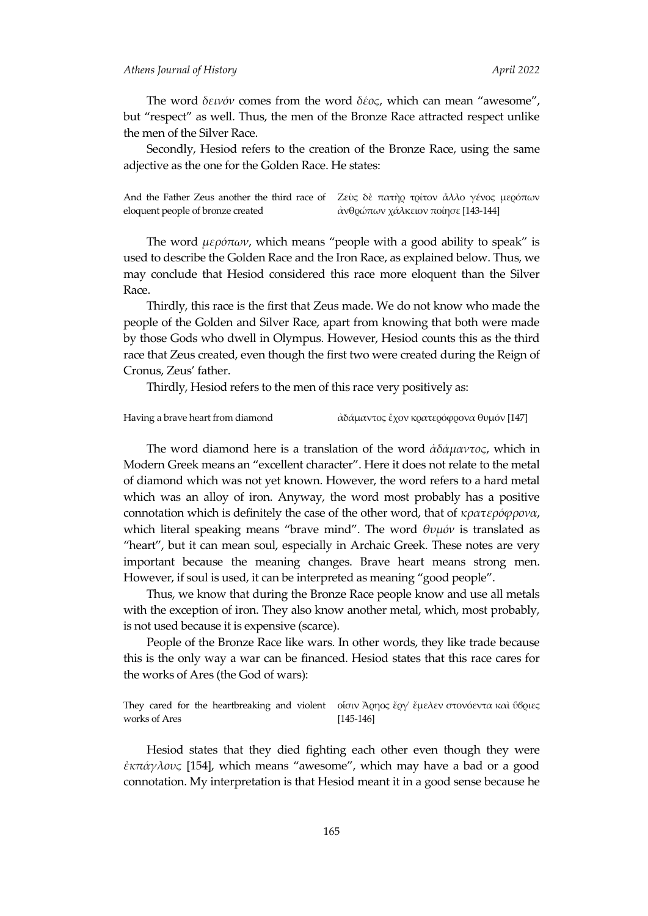#### *Athens Journal of History April 2022*

The word *δεινόν* comes from the word *δέος*, which can mean "awesome", but "respect" as well. Thus, the men of the Bronze Race attracted respect unlike the men of the Silver Race.

Secondly, Hesiod refers to the creation of the Bronze Race, using the same adjective as the one for the Golden Race. He states:

And the Father Zeus another the third race of Ζεὺς δὲ πατὴρ τρίτον ἄλλο γένος μερόπων eloquent people of bronze created ἀνθρώπων χάλκειον ποίησε [143-144]

The word *μερόπων*, which means "people with a good ability to speak" is used to describe the Golden Race and the Iron Race, as explained below. Thus, we may conclude that Hesiod considered this race more eloquent than the Silver Race.

Thirdly, this race is the first that Zeus made. We do not know who made the people of the Golden and Silver Race, apart from knowing that both were made by those Gods who dwell in Olympus. However, Hesiod counts this as the third race that Zeus created, even though the first two were created during the Reign of Cronus, Zeus' father.

Thirdly, Hesiod refers to the men of this race very positively as:

Having a brave heart from diamond  $\lambda \delta \alpha$ μαντος ἔχον κρατερόφρονα θυμόν [147]

The word diamond here is a translation of the word *ἀδάμαντος*, which in Modern Greek means an "excellent character". Here it does not relate to the metal of diamond which was not yet known. However, the word refers to a hard metal which was an alloy of iron. Anyway, the word most probably has a positive connotation which is definitely the case of the other word, that of *κρατερόφρονα*, which literal speaking means "brave mind". The word *θυμόν* is translated as "heart", but it can mean soul, especially in Archaic Greek. These notes are very important because the meaning changes. Brave heart means strong men. However, if soul is used, it can be interpreted as meaning "good people".

Thus, we know that during the Bronze Race people know and use all metals with the exception of iron. They also know another metal, which, most probably, is not used because it is expensive (scarce).

People of the Bronze Race like wars. In other words, they like trade because this is the only way a war can be financed. Hesiod states that this race cares for the works of Ares (the God of wars):

They cared for the heartbreaking and violent oίσιν Άρηος ἔργ' ἔμελεν στονόεντα καὶ ὕβριες works of Ares [145-146]

Hesiod states that they died fighting each other even though they were *ἐκπάγλους* [154], which means "awesome", which may have a bad or a good connotation. My interpretation is that Hesiod meant it in a good sense because he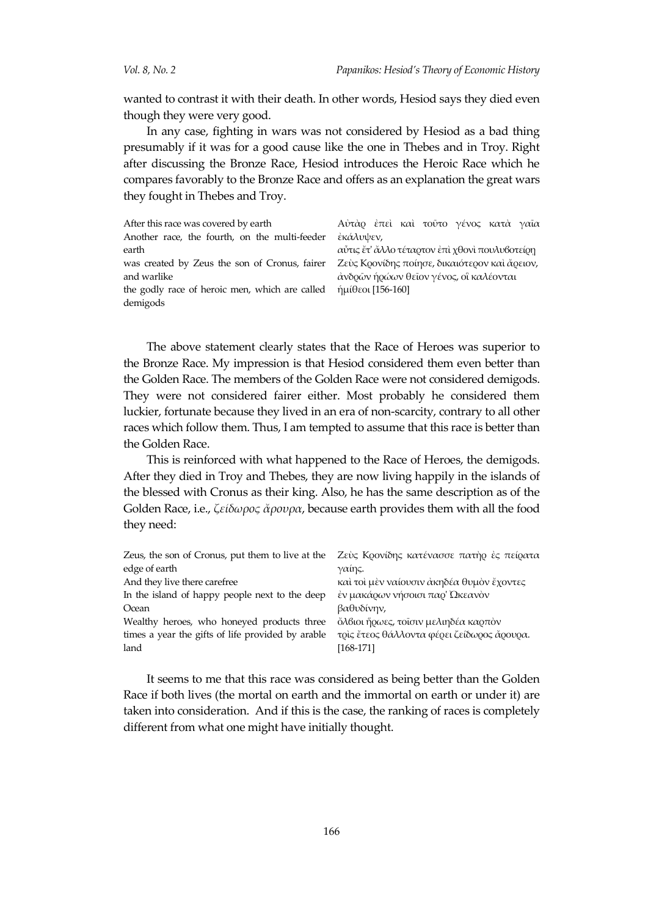wanted to contrast it with their death. In other words, Hesiod says they died even though they were very good.

In any case, fighting in wars was not considered by Hesiod as a bad thing presumably if it was for a good cause like the one in Thebes and in Troy. Right after discussing the Bronze Race, Hesiod introduces the Heroic Race which he compares favorably to the Bronze Race and offers as an explanation the great wars they fought in Thebes and Troy.

| After this race was covered by earth                                                     | Αύτάρ έπει και τούτο γένος κατά γαία           |
|------------------------------------------------------------------------------------------|------------------------------------------------|
| Another race, the fourth, on the multi-feeder                                            | έκάλυψεν,                                      |
| earth                                                                                    | αὖτις ἔτ' ἄλλο τέταρτον ἐπὶ χθονὶ πουλυβοτείρη |
| was created by Zeus the son of Cronus, fairer                                            | Ζεὺς Κρονίδης ποίησε, δικαιότερον καὶ ἄρειον,  |
| and warlike                                                                              | ανδρῶν ήρώων θεῖον γένος, οἳ καλέονται         |
| the godly race of heroic men, which are called $\eta\mu(\theta\epsilon\sigma)$ [156-160] |                                                |
| demigods                                                                                 |                                                |

The above statement clearly states that the Race of Heroes was superior to the Bronze Race. My impression is that Hesiod considered them even better than the Golden Race. The members of the Golden Race were not considered demigods. They were not considered fairer either. Most probably he considered them luckier, fortunate because they lived in an era of non-scarcity, contrary to all other races which follow them. Thus, I am tempted to assume that this race is better than the Golden Race.

This is reinforced with what happened to the Race of Heroes, the demigods. After they died in Troy and Thebes, they are now living happily in the islands of the blessed with Cronus as their king. Also, he has the same description as of the Golden Race, i.e., *ζείδωρος ἄρουρα*, because earth provides them with all the food they need:

| Zeus, the son of Cronus, put them to live at the  | Ζεύς Κρονίδης κατένασσε πατήρ ές πείρατα   |  |  |
|---------------------------------------------------|--------------------------------------------|--|--|
| edge of earth                                     | γαίης.                                     |  |  |
| And they live there carefree                      | καὶ τοὶ μὲν ναίουσιν ἀκηδέα θυμὸν ἔχοντες  |  |  |
| In the island of happy people next to the deep    | έν μακάρων νήσοισι παρ' Ωκεανόν            |  |  |
| Ocean                                             | βαθυδίνην,                                 |  |  |
| Wealthy heroes, who honeyed products three        | ὄλβιοι ήρωες, τοισιν μελιηδέα καρπὸν       |  |  |
| times a year the gifts of life provided by arable | τοις έτεος θάλλοντα φέρει ζείδωρος ἄρουρα. |  |  |
| land                                              | [168-171]                                  |  |  |

It seems to me that this race was considered as being better than the Golden Race if both lives (the mortal on earth and the immortal on earth or under it) are taken into consideration. And if this is the case, the ranking of races is completely different from what one might have initially thought.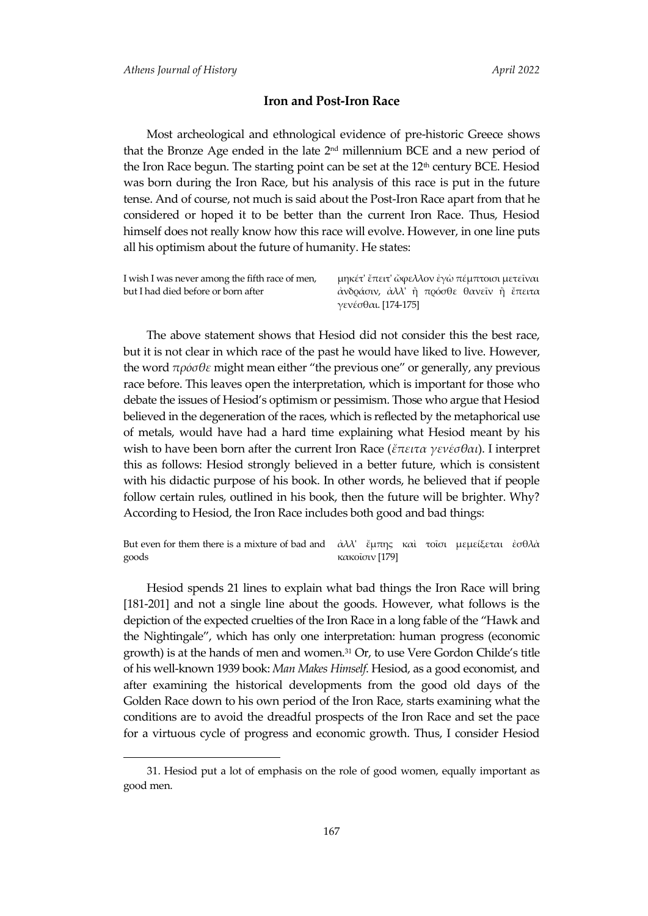l

### **Iron and Post-Iron Race**

Most archeological and ethnological evidence of pre-historic Greece shows that the Bronze Age ended in the late  $2<sup>nd</sup>$  millennium BCE and a new period of the Iron Race begun. The starting point can be set at the  $12<sup>th</sup>$  century BCE. Hesiod was born during the Iron Race, but his analysis of this race is put in the future tense. And of course, not much is said about the Post-Iron Race apart from that he considered or hoped it to be better than the current Iron Race. Thus, Hesiod himself does not really know how this race will evolve. However, in one line puts all his optimism about the future of humanity. He states:

| I wish I was never among the fifth race of men, | μηκέτ' ἔπειτ' ὤφελλον ἐγὼ πέμπτοισι μετεῖναι |  |  |  |
|-------------------------------------------------|----------------------------------------------|--|--|--|
| but I had died before or born after             | άνδράσιν, άλλ' ἢ πρόσθε θανεῖν ἠ ἔπειτα      |  |  |  |
|                                                 | γενέσθαι. [174-175]                          |  |  |  |

The above statement shows that Hesiod did not consider this the best race, but it is not clear in which race of the past he would have liked to live. However, the word *πρόσθε* might mean either "the previous one" or generally, any previous race before. This leaves open the interpretation, which is important for those who debate the issues of Hesiod's optimism or pessimism. Those who argue that Hesiod believed in the degeneration of the races, which is reflected by the metaphorical use of metals, would have had a hard time explaining what Hesiod meant by his wish to have been born after the current Iron Race (*ἔπειτα γενέσθαι*). I interpret this as follows: Hesiod strongly believed in a better future, which is consistent with his didactic purpose of his book. In other words, he believed that if people follow certain rules, outlined in his book, then the future will be brighter. Why? According to Hesiod, the Iron Race includes both good and bad things:

But even for them there is a mixture of bad and *άλλ' ἔμπης κα*ὶ τοῖσι μεμείξεται ἐσθλὰ goods κακοΐσιν [179]

Hesiod spends 21 lines to explain what bad things the Iron Race will bring [181-201] and not a single line about the goods. However, what follows is the depiction of the expected cruelties of the Iron Race in a long fable of the "Hawk and the Nightingale", which has only one interpretation: human progress (economic growth) is at the hands of men and women.<sup>31</sup> Or, to use Vere Gordon Childe's title of his well-known 1939 book: *Man Makes Himself*. Hesiod, as a good economist, and after examining the historical developments from the good old days of the Golden Race down to his own period of the Iron Race, starts examining what the conditions are to avoid the dreadful prospects of the Iron Race and set the pace for a virtuous cycle of progress and economic growth. Thus, I consider Hesiod

<sup>31.</sup> Hesiod put a lot of emphasis on the role of good women, equally important as good men.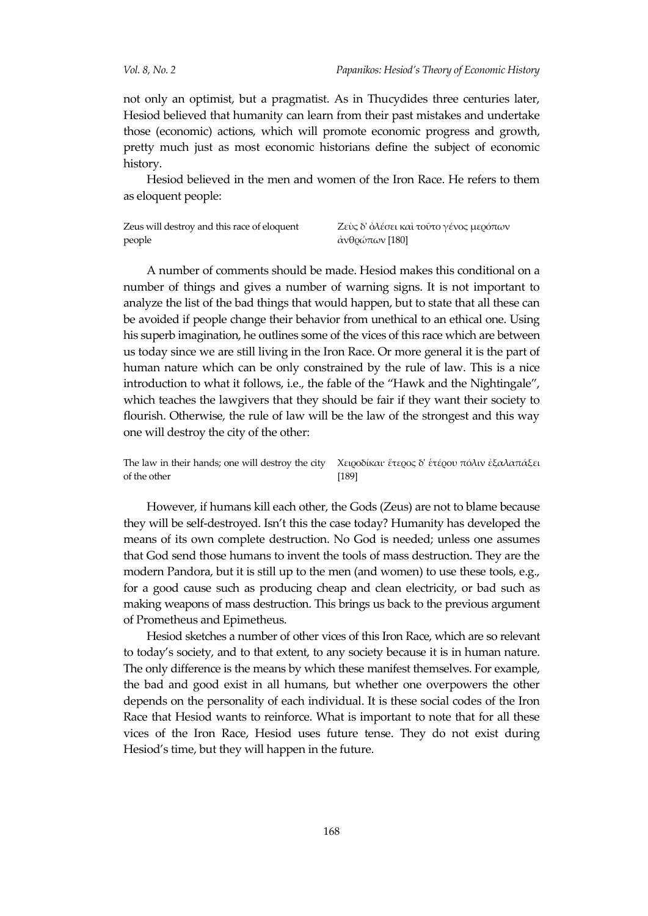not only an optimist, but a pragmatist. As in Thucydides three centuries later, Hesiod believed that humanity can learn from their past mistakes and undertake those (economic) actions, which will promote economic progress and growth, pretty much just as most economic historians define the subject of economic history.

Hesiod believed in the men and women of the Iron Race. He refers to them as eloquent people:

| Zeus will destroy and this race of eloquent | Ζεὺς δ' ὀλέσει καὶ τοῦτο γένος μερόπων |
|---------------------------------------------|----------------------------------------|
| people                                      | άνθρώπων [180]                         |

A number of comments should be made. Hesiod makes this conditional on a number of things and gives a number of warning signs. It is not important to analyze the list of the bad things that would happen, but to state that all these can be avoided if people change their behavior from unethical to an ethical one. Using his superb imagination, he outlines some of the vices of this race which are between us today since we are still living in the Iron Race. Or more general it is the part of human nature which can be only constrained by the rule of law. This is a nice introduction to what it follows, i.e., the fable of the "Hawk and the Nightingale", which teaches the lawgivers that they should be fair if they want their society to flourish. Otherwise, the rule of law will be the law of the strongest and this way one will destroy the city of the other:

The law in their hands; one will destroy the city of the other Χειροδίκαι· ἕτερος δ' ἑτέρου πόλιν ἐξαλαπάξει [189]

However, if humans kill each other, the Gods (Zeus) are not to blame because they will be self-destroyed. Isn't this the case today? Humanity has developed the means of its own complete destruction. No God is needed; unless one assumes that God send those humans to invent the tools of mass destruction. They are the modern Pandora, but it is still up to the men (and women) to use these tools, e.g., for a good cause such as producing cheap and clean electricity, or bad such as making weapons of mass destruction. This brings us back to the previous argument of Prometheus and Epimetheus.

Hesiod sketches a number of other vices of this Iron Race, which are so relevant to today's society, and to that extent, to any society because it is in human nature. The only difference is the means by which these manifest themselves. For example, the bad and good exist in all humans, but whether one overpowers the other depends on the personality of each individual. It is these social codes of the Iron Race that Hesiod wants to reinforce. What is important to note that for all these vices of the Iron Race, Hesiod uses future tense. They do not exist during Hesiod's time, but they will happen in the future.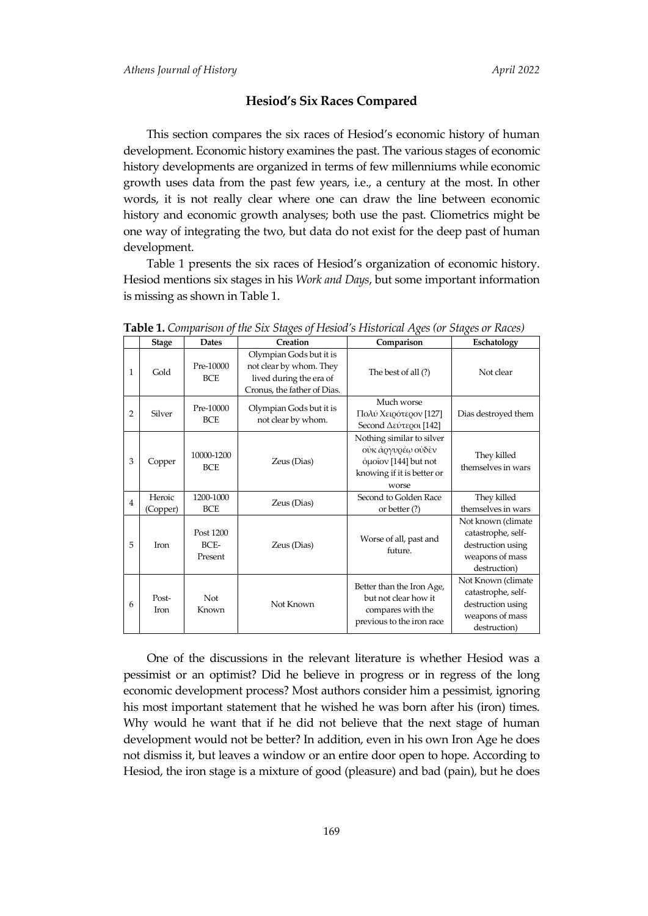#### **Hesiod's Six Races Compared**

This section compares the six races of Hesiod's economic history of human development. Economic history examines the past. The various stages of economic history developments are organized in terms of few millenniums while economic growth uses data from the past few years, i.e., a century at the most. In other words, it is not really clear where one can draw the line between economic history and economic growth analyses; both use the past. Cliometrics might be one way of integrating the two, but data do not exist for the deep past of human development.

Table 1 presents the six races of Hesiod's organization of economic history. Hesiod mentions six stages in his *Work and Days*, but some important information is missing as shown in Table 1.

|                | <b>Stage</b>       | <b>Dates</b>                 | Creation                                                                                                     | Comparison                                                                                                    | Eschatology                                                                                      |
|----------------|--------------------|------------------------------|--------------------------------------------------------------------------------------------------------------|---------------------------------------------------------------------------------------------------------------|--------------------------------------------------------------------------------------------------|
| 1              | Gold               | Pre-10000<br><b>BCE</b>      | Olympian Gods but it is<br>not clear by whom. They<br>lived during the era of<br>Cronus, the father of Dias. | The best of all (?)                                                                                           | Not clear                                                                                        |
| $\overline{2}$ | Silver             | Pre-10000<br><b>BCE</b>      | Olympian Gods but it is<br>not clear by whom.                                                                | Much worse<br>Πολύ Χειρότερον [127]<br>Second Δεύτεροι [142]                                                  | Dias destroyed them                                                                              |
| 3              | Copper             | 10000-1200<br><b>BCE</b>     | Zeus (Dias)                                                                                                  | Nothing similar to silver<br>οὐκ ἀργυρέω οὐδὲν<br>όμοῖον [144] but not<br>knowing if it is better or<br>worse | They killed<br>themselves in wars                                                                |
| $\overline{4}$ | Heroic<br>(Copper) | 1200-1000<br><b>BCE</b>      | Zeus (Dias)                                                                                                  | Second to Golden Race<br>or better (?)                                                                        | They killed<br>themselves in wars                                                                |
| 5              | <b>Iron</b>        | Post 1200<br>BCE-<br>Present | Zeus (Dias)                                                                                                  | Worse of all, past and<br>future.                                                                             | Not known (climate<br>catastrophe, self-<br>destruction using<br>weapons of mass<br>destruction) |
| 6              | Post-<br>Iron      | Not<br>Known                 | Not Known                                                                                                    | Better than the Iron Age,<br>but not clear how it<br>compares with the<br>previous to the iron race           | Not Known (climate<br>catastrophe, self-<br>destruction using<br>weapons of mass<br>destruction) |

**Table 1.** *Comparison of the Six Stages of Hesiod's Historical Ages (or Stages or Races)*

One of the discussions in the relevant literature is whether Hesiod was a pessimist or an optimist? Did he believe in progress or in regress of the long economic development process? Most authors consider him a pessimist, ignoring his most important statement that he wished he was born after his (iron) times. Why would he want that if he did not believe that the next stage of human development would not be better? In addition, even in his own Iron Age he does not dismiss it, but leaves a window or an entire door open to hope. According to Hesiod, the iron stage is a mixture of good (pleasure) and bad (pain), but he does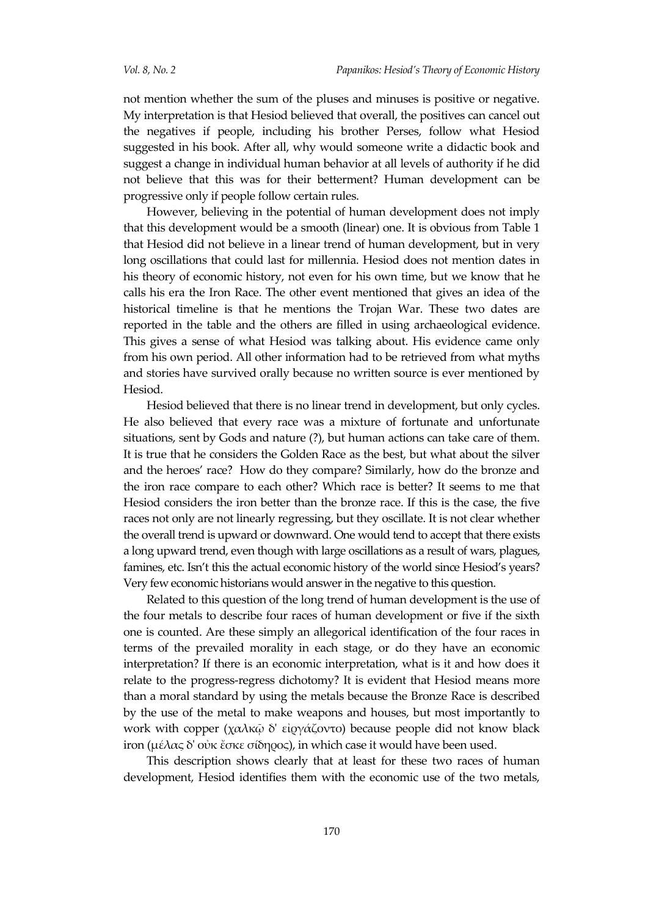not mention whether the sum of the pluses and minuses is positive or negative. My interpretation is that Hesiod believed that overall, the positives can cancel out the negatives if people, including his brother Perses, follow what Hesiod suggested in his book. After all, why would someone write a didactic book and suggest a change in individual human behavior at all levels of authority if he did not believe that this was for their betterment? Human development can be progressive only if people follow certain rules.

However, believing in the potential of human development does not imply that this development would be a smooth (linear) one. It is obvious from Table 1 that Hesiod did not believe in a linear trend of human development, but in very long oscillations that could last for millennia. Hesiod does not mention dates in his theory of economic history, not even for his own time, but we know that he calls his era the Iron Race. The other event mentioned that gives an idea of the historical timeline is that he mentions the Trojan War. These two dates are reported in the table and the others are filled in using archaeological evidence. This gives a sense of what Hesiod was talking about. His evidence came only from his own period. All other information had to be retrieved from what myths and stories have survived orally because no written source is ever mentioned by Hesiod.

Hesiod believed that there is no linear trend in development, but only cycles. He also believed that every race was a mixture of fortunate and unfortunate situations, sent by Gods and nature (?), but human actions can take care of them. It is true that he considers the Golden Race as the best, but what about the silver and the heroes' race? How do they compare? Similarly, how do the bronze and the iron race compare to each other? Which race is better? It seems to me that Hesiod considers the iron better than the bronze race. If this is the case, the five races not only are not linearly regressing, but they oscillate. It is not clear whether the overall trend is upward or downward. One would tend to accept that there exists a long upward trend, even though with large oscillations as a result of wars, plagues, famines, etc. Isn't this the actual economic history of the world since Hesiod's years? Very few economic historians would answer in the negative to this question.

Related to this question of the long trend of human development is the use of the four metals to describe four races of human development or five if the sixth one is counted. Are these simply an allegorical identification of the four races in terms of the prevailed morality in each stage, or do they have an economic interpretation? If there is an economic interpretation, what is it and how does it relate to the progress-regress dichotomy? It is evident that Hesiod means more than a moral standard by using the metals because the Bronze Race is described by the use of the metal to make weapons and houses, but most importantly to work with copper (χαλκῷ δ' εἰργάζοντο) because people did not know black iron (μέλας δ' οὐκ ἔσκε σίδηρος), in which case it would have been used.

This description shows clearly that at least for these two races of human development, Hesiod identifies them with the economic use of the two metals,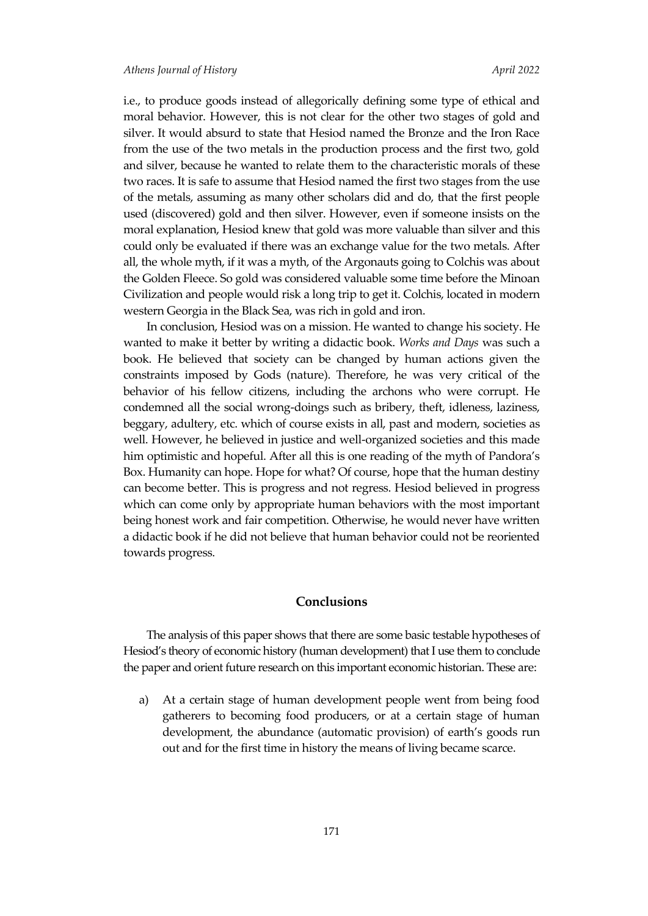i.e., to produce goods instead of allegorically defining some type of ethical and moral behavior. However, this is not clear for the other two stages of gold and silver. It would absurd to state that Hesiod named the Bronze and the Iron Race from the use of the two metals in the production process and the first two, gold and silver, because he wanted to relate them to the characteristic morals of these two races. It is safe to assume that Hesiod named the first two stages from the use of the metals, assuming as many other scholars did and do, that the first people used (discovered) gold and then silver. However, even if someone insists on the moral explanation, Hesiod knew that gold was more valuable than silver and this could only be evaluated if there was an exchange value for the two metals. After all, the whole myth, if it was a myth, of the Argonauts going to Colchis was about the Golden Fleece. So gold was considered valuable some time before the Minoan Civilization and people would risk a long trip to get it. Colchis, located in modern western Georgia in the Black Sea, was rich in gold and iron.

In conclusion, Hesiod was on a mission. He wanted to change his society. He wanted to make it better by writing a didactic book. *Works and Days* was such a book. He believed that society can be changed by human actions given the constraints imposed by Gods (nature). Therefore, he was very critical of the behavior of his fellow citizens, including the archons who were corrupt. He condemned all the social wrong-doings such as bribery, theft, idleness, laziness, beggary, adultery, etc. which of course exists in all, past and modern, societies as well. However, he believed in justice and well-organized societies and this made him optimistic and hopeful. After all this is one reading of the myth of Pandora's Box. Humanity can hope. Hope for what? Of course, hope that the human destiny can become better. This is progress and not regress. Hesiod believed in progress which can come only by appropriate human behaviors with the most important being honest work and fair competition. Otherwise, he would never have written a didactic book if he did not believe that human behavior could not be reoriented towards progress.

## **Conclusions**

The analysis of this paper shows that there are some basic testable hypotheses of Hesiod's theory of economic history (human development) that I use them to conclude the paper and orient future research on this important economic historian. These are:

a) At a certain stage of human development people went from being food gatherers to becoming food producers, or at a certain stage of human development, the abundance (automatic provision) of earth's goods run out and for the first time in history the means of living became scarce.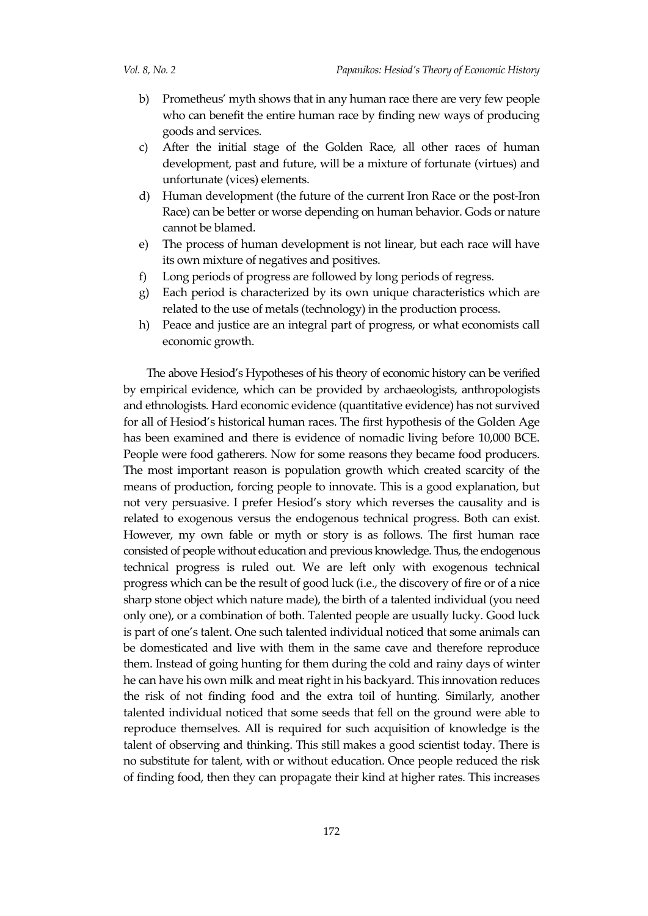- b) Prometheus' myth shows that in any human race there are very few people who can benefit the entire human race by finding new ways of producing goods and services.
- c) After the initial stage of the Golden Race, all other races of human development, past and future, will be a mixture of fortunate (virtues) and unfortunate (vices) elements.
- d) Human development (the future of the current Iron Race or the post-Iron Race) can be better or worse depending on human behavior. Gods or nature cannot be blamed.
- e) The process of human development is not linear, but each race will have its own mixture of negatives and positives.
- f) Long periods of progress are followed by long periods of regress.
- g) Each period is characterized by its own unique characteristics which are related to the use of metals (technology) in the production process.
- h) Peace and justice are an integral part of progress, or what economists call economic growth.

The above Hesiod's Hypotheses of his theory of economic history can be verified by empirical evidence, which can be provided by archaeologists, anthropologists and ethnologists. Hard economic evidence (quantitative evidence) has not survived for all of Hesiod's historical human races. The first hypothesis of the Golden Age has been examined and there is evidence of nomadic living before 10,000 BCE. People were food gatherers. Now for some reasons they became food producers. The most important reason is population growth which created scarcity of the means of production, forcing people to innovate. This is a good explanation, but not very persuasive. I prefer Hesiod's story which reverses the causality and is related to exogenous versus the endogenous technical progress. Both can exist. However, my own fable or myth or story is as follows. The first human race consisted of people without education and previous knowledge. Thus, the endogenous technical progress is ruled out. We are left only with exogenous technical progress which can be the result of good luck (i.e., the discovery of fire or of a nice sharp stone object which nature made), the birth of a talented individual (you need only one), or a combination of both. Talented people are usually lucky. Good luck is part of one's talent. One such talented individual noticed that some animals can be domesticated and live with them in the same cave and therefore reproduce them. Instead of going hunting for them during the cold and rainy days of winter he can have his own milk and meat right in his backyard. This innovation reduces the risk of not finding food and the extra toil of hunting. Similarly, another talented individual noticed that some seeds that fell on the ground were able to reproduce themselves. All is required for such acquisition of knowledge is the talent of observing and thinking. This still makes a good scientist today. There is no substitute for talent, with or without education. Once people reduced the risk of finding food, then they can propagate their kind at higher rates. This increases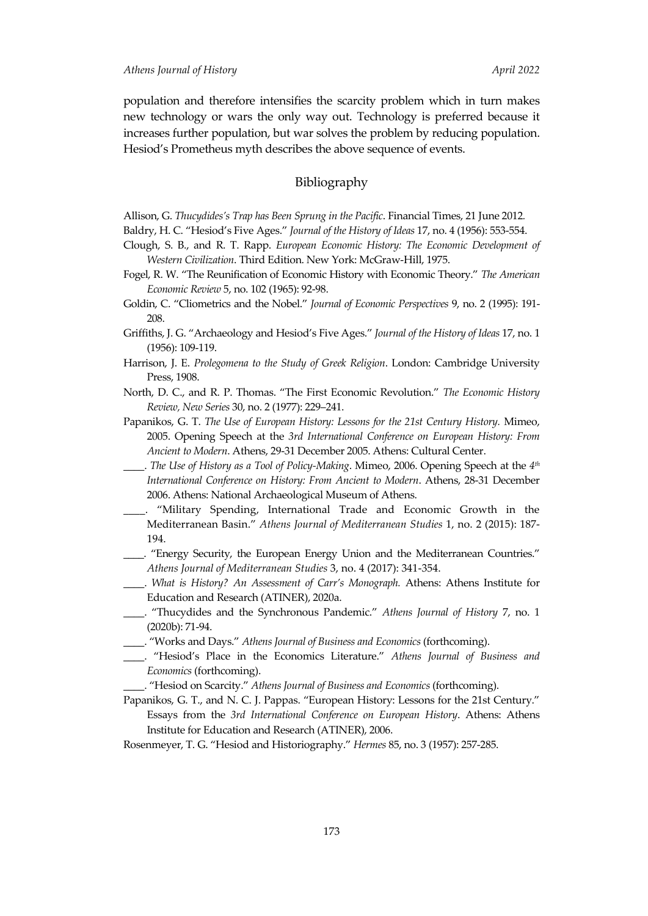population and therefore intensifies the scarcity problem which in turn makes new technology or wars the only way out. Technology is preferred because it increases further population, but war solves the problem by reducing population. Hesiod's Prometheus myth describes the above sequence of events.

### Bibliography

Allison, G. *Thucydides's Trap has Been Sprung in the Pacific*. Financial Times, 21 June 2012*.*

Baldry, H. C. "Hesiod's Five Ages." *Journal of the History of Ideas* 17, no. 4 (1956): 553-554.

- Clough, S. B., and R. T. Rapp. *European Economic History: The Economic Development of Western Civilization*. Third Edition. New York: McGraw-Hill, 1975.
- Fogel, R. W. "The Reunification of Economic History with Economic Theory." *The American Economic Review* 5, no. 102 (1965): 92-98.
- Goldin, C. "Cliometrics and the Nobel." *Journal of Economic Perspectives* 9, no. 2 (1995): 191- 208.
- Griffiths, J. G. "Archaeology and Hesiod's Five Ages." *Journal of the History of Ideas* 17, no. 1 (1956): 109-119.
- Harrison, J. E. *Prolegomena to the Study of Greek Religion*. London: Cambridge University Press, 1908.
- North, D. C., and R. P. Thomas. "The First Economic Revolution." *The Economic History Review, New Series* 30, no. 2 (1977): 229–241.
- Papanikos, G. T. *The Use of European History: Lessons for the 21st Century History.* Mimeo, 2005. Opening Speech at the *3rd International Conference on European History: From Ancient to Modern*. Athens, 29-31 December 2005. Athens: Cultural Center.
- \_\_\_\_. *The Use of History as a Tool of Policy-Making*. Mimeo, 2006. Opening Speech at the *4 th International Conference on History: From Ancient to Modern*. Athens, 28-31 December 2006. Athens: National Archaeological Museum of Athens.
- \_\_\_\_. "Military Spending, International Trade and Economic Growth in the Mediterranean Basin." *Athens Journal of Mediterranean Studies* 1, no. 2 (2015): 187- 194.
- \_\_\_\_. "Energy Security, the European Energy Union and the Mediterranean Countries." *Athens Journal of Mediterranean Studies* 3, no. 4 (2017): 341-354.
- \_\_\_\_. *What is History? An Assessment of Carr's Monograph.* Athens: Athens Institute for Education and Research (ATINER), 2020a.
- \_\_\_\_. "Thucydides and the Synchronous Pandemic." *Athens Journal of History* 7, no. 1 (2020b): 71-94.
- \_\_\_\_. "Works and Days." *Athens Journal of Business and Economics* (forthcoming).
- \_\_\_\_. "Hesiod's Place in the Economics Literature." *Athens Journal of Business and Economics* (forthcoming).
- \_\_\_\_. "Hesiod on Scarcity." *Athens Journal of Business and Economics* (forthcoming).
- Papanikos, G. T., and N. C. J. Pappas. "European History: Lessons for the 21st Century." Essays from the *3rd International Conference on European History*. Athens: Athens Institute for Education and Research (ATINER), 2006.
- Rosenmeyer, T. G. "Hesiod and Historiography." *Hermes* 85, no. 3 (1957): 257-285.